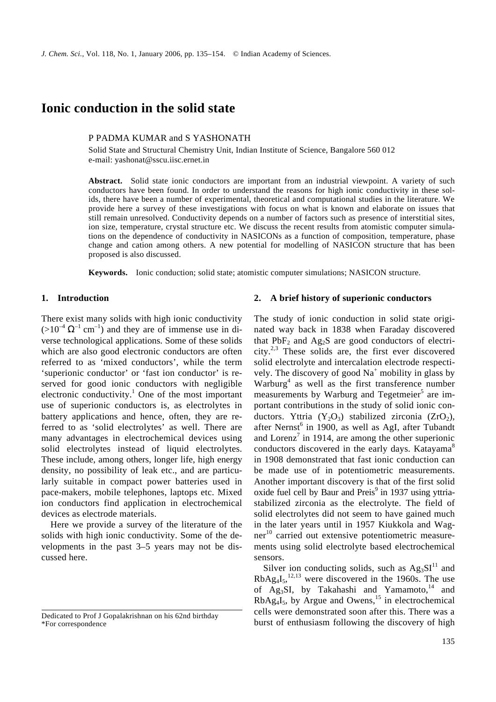# **Ionic conduction in the solid state**

#### P PADMA KUMAR and S YASHONATH

Solid State and Structural Chemistry Unit, Indian Institute of Science, Bangalore 560 012 e-mail: yashonat@sscu.iisc.ernet.in

**Abstract.** Solid state ionic conductors are important from an industrial viewpoint. A variety of such conductors have been found. In order to understand the reasons for high ionic conductivity in these solids, there have been a number of experimental, theoretical and computational studies in the literature. We provide here a survey of these investigations with focus on what is known and elaborate on issues that still remain unresolved. Conductivity depends on a number of factors such as presence of interstitial sites, ion size, temperature, crystal structure etc. We discuss the recent results from atomistic computer simulations on the dependence of conductivity in NASICONs as a function of composition, temperature, phase change and cation among others. A new potential for modelling of NASICON structure that has been proposed is also discussed.

**Keywords.** Ionic conduction; solid state; atomistic computer simulations; NASICON structure.

# **1. Introduction**

There exist many solids with high ionic conductivity  $(>10^{-4} \Omega^{-1} \text{ cm}^{-1})$  and they are of immense use in diverse technological applications. Some of these solids which are also good electronic conductors are often referred to as 'mixed conductors', while the term 'superionic conductor' or 'fast ion conductor' is reserved for good ionic conductors with negligible electronic conductivity.<sup>1</sup> One of the most important use of superionic conductors is, as electrolytes in battery applications and hence, often, they are referred to as 'solid electrolytes' as well. There are many advantages in electrochemical devices using solid electrolytes instead of liquid electrolytes. These include, among others, longer life, high energy density, no possibility of leak etc., and are particularly suitable in compact power batteries used in pace-makers, mobile telephones, laptops etc. Mixed ion conductors find application in electrochemical devices as electrode materials.

Here we provide a survey of the literature of the solids with high ionic conductivity. Some of the developments in the past 3–5 years may not be discussed here.

#### **2. A brief history of superionic conductors**

The study of ionic conduction in solid state originated way back in 1838 when Faraday discovered that  $PbF_2$  and  $Ag_2S$  are good conductors of electricity.<sup>2,3</sup> These solids are, the first ever discovered solid electrolyte and intercalation electrode respectively. The discovery of good  $Na<sup>+</sup>$  mobility in glass by Warburg<sup>4</sup> as well as the first transference number measurements by Warburg and Tegetmeier<sup>5</sup> are important contributions in the study of solid ionic conductors. Yttria  $(Y_2O_3)$  stabilized zirconia  $(ZrO_2)$ , after Nernst<sup>6</sup> in 1900, as well as AgI, after Tubandt and Lorenz<sup>7</sup> in 1914, are among the other superionic conductors discovered in the early days. Katayama<sup>8</sup> in 1908 demonstrated that fast ionic conduction can be made use of in potentiometric measurements. Another important discovery is that of the first solid oxide fuel cell by Baur and Preis<sup>9</sup> in 1937 using yttriastabilized zirconia as the electrolyte. The field of solid electrolytes did not seem to have gained much in the later years until in 1957 Kiukkola and Wag $ner<sup>10</sup>$  carried out extensive potentiometric measurements using solid electrolyte based electrochemical sensors.

Silver ion conducting solids, such as  $Ag<sub>3</sub>SI<sup>11</sup>$  and  $RbAg_4I_5$ ,  $^{12,13}$  were discovered in the 1960s. The use of  $\text{Ag}_3\text{SI}$ , by Takahashi and Yamamoto,  $14$  and  $RbAg_4I_5$ , by Argue and Owens,<sup>15</sup> in electrochemical cells were demonstrated soon after this. There was a burst of enthusiasm following the discovery of high

Dedicated to Prof J Gopalakrishnan on his 62nd birthday \*For correspondence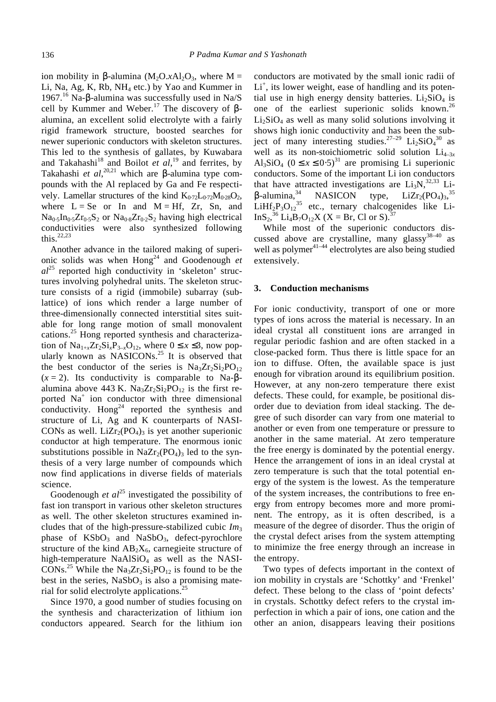ion mobility in **b**-alumina  $(M_2O.xAl_2O_3$ , where  $M =$ Li, Na, Ag, K, Rb,  $NH<sub>4</sub>$  etc.) by Yao and Kummer in 1967.<sup>16</sup> Na-**b**-alumina was successfully used in Na/S cell by Kummer and Weber.<sup>17</sup> The discovery of  $\boldsymbol{b}$ alumina, an excellent solid electrolyte with a fairly rigid framework structure, boosted searches for newer superionic conductors with skeleton structures. This led to the synthesis of gallates, by Kuwabara and Takahashi<sup>18</sup> and Boilot *et al*,<sup>19</sup> and ferrites, by Takahashi *et al*, 20,21 which are *b*-alumina type compounds with the Al replaced by Ga and Fe respectively. Lamellar structures of the kind  $K_{0.72}L_{0.72}M_{0.28}O_2$ , where  $L = Se$  or In and  $M = Hf$ ,  $Zr$ ,  $Sn$ , and  $Na<sub>0.5</sub>In<sub>0.5</sub>Zr<sub>0.5</sub>S<sub>2</sub>$  or  $Na<sub>0.8</sub>Zr<sub>0.2</sub>S<sub>2</sub>$  having high electrical conductivities were also synthesized following this. $22,23$ 

Another advance in the tailored making of superionic solids was when Hong<sup>24</sup> and Goodenough *et*  $al^{25}$  reported high conductivity in 'skeleton' structures involving polyhedral units. The skeleton structure consists of a rigid (immobile) subarray (sublattice) of ions which render a large number of three-dimensionally connected interstitial sites suitable for long range motion of small monovalent cations.<sup>25</sup> Hong reported synthesis and characterization of  $\text{Na}_{1+x}\text{Zr}_2\text{Si}_x\text{P}_{3-x}\text{O}_{12}$ , where  $0 \le x \le 3$ , now popularly known as NASICONs.<sup>25</sup> It is observed that the best conductor of the series is  $Na<sub>3</sub>Zr<sub>2</sub>Si<sub>2</sub>PO<sub>12</sub>$  $(x = 2)$ . Its conductivity is comparable to Na-**b**alumina above 443 K. Na<sub>3</sub>Zr<sub>2</sub>Si<sub>2</sub>PO<sub>12</sub> is the first reported  $Na<sup>+</sup>$  ion conductor with three dimensional conductivity.  $Hong<sup>24</sup>$  reported the synthesis and structure of Li, Ag and K counterparts of NASI-CONs as well.  $LiZr_2(PO_4)$ <sub>3</sub> is yet another superionic conductor at high temperature. The enormous ionic substitutions possible in  $NaZr_2(PO_4)_3$  led to the synthesis of a very large number of compounds which now find applications in diverse fields of materials science.

Goodenough *et*  $al^{25}$  investigated the possibility of fast ion transport in various other skeleton structures as well. The other skeleton structures examined includes that of the high-pressure-stabilized cubic *Im*<sup>3</sup> phase of  $KSbO<sub>3</sub>$  and  $NaSbO<sub>3</sub>$ , defect-pyrochlore structure of the kind  $AB_2X_6$ , carnegieite structure of high-temperature  $NaAlSiO<sub>4</sub>$  as well as the NASI-CONs.<sup>25</sup> While the Na<sub>3</sub>Zr<sub>2</sub>Si<sub>2</sub>PO<sub>12</sub> is found to be the best in the series,  $NaSbO<sub>3</sub>$  is also a promising material for solid electrolyte applications.<sup>25</sup>

Since 1970, a good number of studies focusing on the synthesis and characterization of lithium ion conductors appeared. Search for the lithium ion conductors are motivated by the small ionic radii of Li<sup>+</sup>, its lower weight, ease of handling and its potential use in high energy density batteries.  $Li<sub>2</sub>SiO<sub>4</sub>$  is one of the earliest superionic solids known.<sup>26</sup>  $Li<sub>2</sub>SiO<sub>4</sub>$  as well as many solid solutions involving it shows high ionic conductivity and has been the subject of many interesting studies.<sup>27-29</sup> Li<sub>2</sub>SiO<sub>4</sub><sup>30</sup> as well as its non-stoichiometric solid solution  $Li_{4-3x}$ Al<sub>3</sub>SiO<sub>4</sub> ( $0 \le x \le 0.5$ )<sup>31</sup> are promising Li superionic conductors. Some of the important Li ion conductors that have attracted investigations are  $Li_3N$ ,<sup>32,33</sup> Li-<br>**b**-alumina,<sup>34</sup> NASICON type, LiZr<sub>2</sub>(PO<sub>4)3</sub>,<sup>35</sup> *b*-alumina,<sup>34</sup> NASICON type, LiZr<sub>2</sub>(PO<sub>4</sub>)<sub>3</sub>,<sup>35</sup>  $LiHf_2P_3O_{12}^{35}$  etc., ternary chalcogenides like Li- $\text{InS}_2$ ,<sup>36</sup> Li<sub>4</sub>B<sub>7</sub>O<sub>12</sub>X (X = Br, Cl or S).<sup>37</sup>

While most of the superionic conductors discussed above are crystalline, many glassy<sup>38-40</sup> as well as polymer $41-44$  electrolytes are also being studied extensively.

### **3. Conduction mechanisms**

For ionic conductivity, transport of one or more types of ions across the material is necessary. In an ideal crystal all constituent ions are arranged in regular periodic fashion and are often stacked in a close-packed form. Thus there is little space for an ion to diffuse. Often, the available space is just enough for vibration around its equilibrium position. However, at any non-zero temperature there exist defects. These could, for example, be positional disorder due to deviation from ideal stacking. The degree of such disorder can vary from one material to another or even from one temperature or pressure to another in the same material. At zero temperature the free energy is dominated by the potential energy. Hence the arrangement of ions in an ideal crystal at zero temperature is such that the total potential energy of the system is the lowest. As the temperature of the system increases, the contributions to free energy from entropy becomes more and more prominent. The entropy, as it is often described, is a measure of the degree of disorder. Thus the origin of the crystal defect arises from the system attempting to minimize the free energy through an increase in the entropy.

Two types of defects important in the context of ion mobility in crystals are 'Schottky' and 'Frenkel' defect. These belong to the class of 'point defects' in crystals. Schottky defect refers to the crystal imperfection in which a pair of ions, one cation and the other an anion, disappears leaving their positions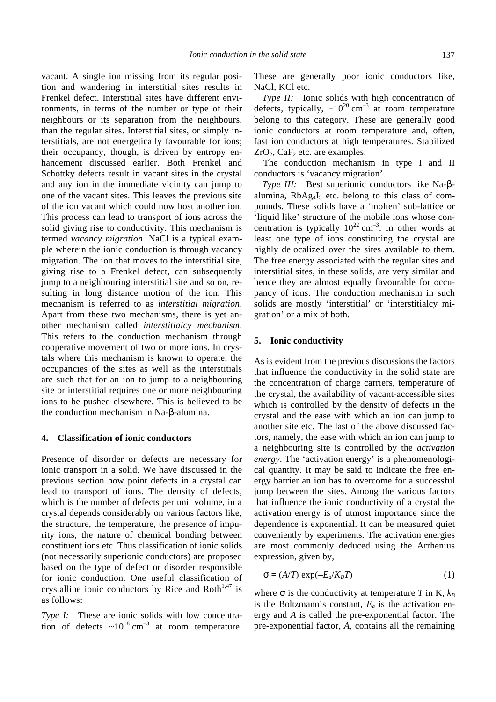vacant. A single ion missing from its regular position and wandering in interstitial sites results in Frenkel defect. Interstitial sites have different environments, in terms of the number or type of their neighbours or its separation from the neighbours, than the regular sites. Interstitial sites, or simply interstitials, are not energetically favourable for ions; their occupancy, though, is driven by entropy enhancement discussed earlier. Both Frenkel and Schottky defects result in vacant sites in the crystal and any ion in the immediate vicinity can jump to one of the vacant sites. This leaves the previous site of the ion vacant which could now host another ion. This process can lead to transport of ions across the solid giving rise to conductivity. This mechanism is termed *vacancy migration*. NaCl is a typical example wherein the ionic conduction is through vacancy migration. The ion that moves to the interstitial site, giving rise to a Frenkel defect, can subsequently jump to a neighbouring interstitial site and so on, resulting in long distance motion of the ion. This mechanism is referred to as *interstitial migration*. Apart from these two mechanisms, there is yet another mechanism called *interstitialcy mechanism*. This refers to the conduction mechanism through cooperative movement of two or more ions. In crystals where this mechanism is known to operate, the occupancies of the sites as well as the interstitials are such that for an ion to jump to a neighbouring site or interstitial requires one or more neighbouring ions to be pushed elsewhere. This is believed to be the conduction mechanism in Na-*b*-alumina.

## **4. Classification of ionic conductors**

Presence of disorder or defects are necessary for ionic transport in a solid. We have discussed in the previous section how point defects in a crystal can lead to transport of ions. The density of defects, which is the number of defects per unit volume, in a crystal depends considerably on various factors like, the structure, the temperature, the presence of impurity ions, the nature of chemical bonding between constituent ions etc. Thus classification of ionic solids (not necessarily superionic conductors) are proposed based on the type of defect or disorder responsible for ionic conduction. One useful classification of crystalline ionic conductors by Rice and Roth $1,47$  is as follows:

*Type I:* These are ionic solids with low concentration of defects  $\sim 10^{18}$  cm<sup>-3</sup> at room temperature.

These are generally poor ionic conductors like, NaCl, KCl etc.

*Type II:* Ionic solids with high concentration of defects, typically,  $\sim 10^{20}$  cm<sup>-3</sup> at room temperature belong to this category. These are generally good ionic conductors at room temperature and, often, fast ion conductors at high temperatures. Stabilized  $ZrO<sub>2</sub>$ , CaF<sub>2</sub> etc. are examples.

The conduction mechanism in type I and II conductors is 'vacancy migration'.

*Type III:* Best superionic conductors like Na-*b*alumina,  $RbAg_4I_5$  etc. belong to this class of compounds. These solids have a 'molten' sub-lattice or 'liquid like' structure of the mobile ions whose concentration is typically  $10^{22}$  cm<sup>-3</sup>. In other words at least one type of ions constituting the crystal are highly delocalized over the sites available to them. The free energy associated with the regular sites and interstitial sites, in these solids, are very similar and hence they are almost equally favourable for occupancy of ions. The conduction mechanism in such solids are mostly 'interstitial' or 'interstitialcy migration' or a mix of both.

## **5. Ionic conductivity**

As is evident from the previous discussions the factors that influence the conductivity in the solid state are the concentration of charge carriers, temperature of the crystal, the availability of vacant-accessible sites which is controlled by the density of defects in the crystal and the ease with which an ion can jump to another site etc. The last of the above discussed factors, namely, the ease with which an ion can jump to a neighbouring site is controlled by the *activation energy*. The 'activation energy' is a phenomenological quantity. It may be said to indicate the free energy barrier an ion has to overcome for a successful jump between the sites. Among the various factors that influence the ionic conductivity of a crystal the activation energy is of utmost importance since the dependence is exponential. It can be measured quiet conveniently by experiments. The activation energies are most commonly deduced using the Arrhenius expression, given by,

$$
\mathbf{S} = (A/T) \exp(-E_a/K_B T) \tag{1}
$$

where  $\boldsymbol{s}$  is the conductivity at temperature *T* in K,  $k_B$ is the Boltzmann's constant,  $E_a$  is the activation energy and *A* is called the pre-exponential factor. The pre-exponential factor, *A*, contains all the remaining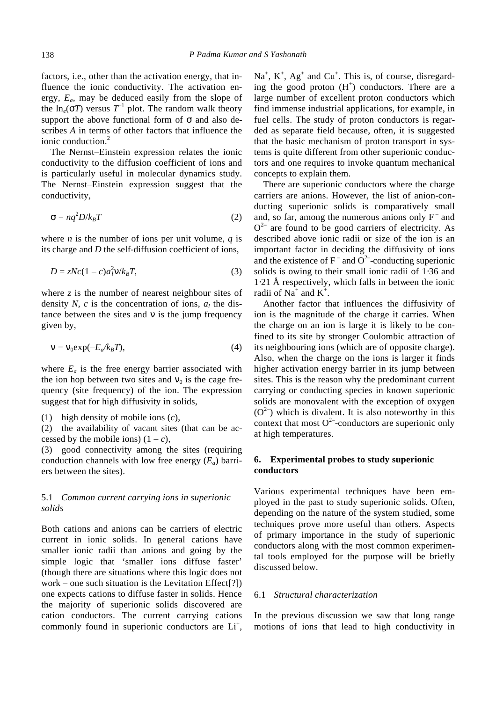factors, i.e., other than the activation energy, that influence the ionic conductivity. The activation energy, *Ea*, may be deduced easily from the slope of the  $\ln_e(\mathbf{s}T)$  versus  $T^{-1}$  plot. The random walk theory support the above functional form of *s* and also describes *A* in terms of other factors that influence the ionic conduction.<sup>2</sup>

The Nernst–Einstein expression relates the ionic conductivity to the diffusion coefficient of ions and is particularly useful in molecular dynamics study. The Nernst–Einstein expression suggest that the conductivity,

$$
\mathbf{S} = nq^2 D/k_B T \tag{2}
$$

where *n* is the number of ions per unit volume,  $q$  is its charge and *D* the self-diffusion coefficient of ions,

$$
D = zNc(1-c)a_i^2\mathbf{n}/k_BT,
$$
\n(3)

where  $z$  is the number of nearest neighbour sites of density *N*,  $c$  is the concentration of ions,  $a_l$  the distance between the sites and *n* is the jump frequency given by,

$$
\mathbf{n} = \mathbf{n}_0 \exp(-E_a / k_B T), \tag{4}
$$

where  $E_a$  is the free energy barrier associated with the ion hop between two sites and  $n_0$  is the cage frequency (site frequency) of the ion. The expression suggest that for high diffusivity in solids,

(1) high density of mobile ions (*c*),

(2) the availability of vacant sites (that can be accessed by the mobile ions)  $(1 - c)$ ,

(3) good connectivity among the sites (requiring conduction channels with low free energy  $(E_a)$  barriers between the sites).

# 5.1 *Common current carrying ions in superionic solids*

Both cations and anions can be carriers of electric current in ionic solids. In general cations have smaller ionic radii than anions and going by the simple logic that 'smaller ions diffuse faster' (though there are situations where this logic does not work – one such situation is the Levitation Effect[?]) one expects cations to diffuse faster in solids. Hence the majority of superionic solids discovered are cation conductors. The current carrying cations commonly found in superionic conductors are Li<sup>+</sup>,

 $Na<sup>+</sup>$ ,  $K<sup>+</sup>$ ,  $Ag<sup>+</sup>$  and  $Cu<sup>+</sup>$ . This is, of course, disregarding the good proton  $(H<sup>+</sup>)$  conductors. There are a large number of excellent proton conductors which find immense industrial applications, for example, in fuel cells. The study of proton conductors is regarded as separate field because, often, it is suggested that the basic mechanism of proton transport in systems is quite different from other superionic conductors and one requires to invoke quantum mechanical concepts to explain them.

There are superionic conductors where the charge carriers are anions. However, the list of anion-conducting superionic solids is comparatively small and, so far, among the numerous anions only  $F^-$  and  $O^{2-}$  are found to be good carriers of electricity. As described above ionic radii or size of the ion is an important factor in deciding the diffusivity of ions and the existence of  $F^-$  and  $O^2$ -conducting superionic solids is owing to their small ionic radii of 1⋅36 and 1⋅21 Å respectively, which falls in between the ionic radii of  $Na^+$  and  $K^+$ .

Another factor that influences the diffusivity of ion is the magnitude of the charge it carries. When the charge on an ion is large it is likely to be confined to its site by stronger Coulombic attraction of its neighbouring ions (which are of opposite charge). Also, when the charge on the ions is larger it finds higher activation energy barrier in its jump between sites. This is the reason why the predominant current carrying or conducting species in known superionic solids are monovalent with the exception of oxygen  $(O<sup>2</sup>)$  which is divalent. It is also noteworthy in this context that most  $O^{2-}$ -conductors are superionic only at high temperatures.

# **6. Experimental probes to study superionic conductors**

Various experimental techniques have been employed in the past to study superionic solids. Often, depending on the nature of the system studied, some techniques prove more useful than others. Aspects of primary importance in the study of superionic conductors along with the most common experimental tools employed for the purpose will be briefly discussed below.

# 6.1 *Structural characterization*

In the previous discussion we saw that long range motions of ions that lead to high conductivity in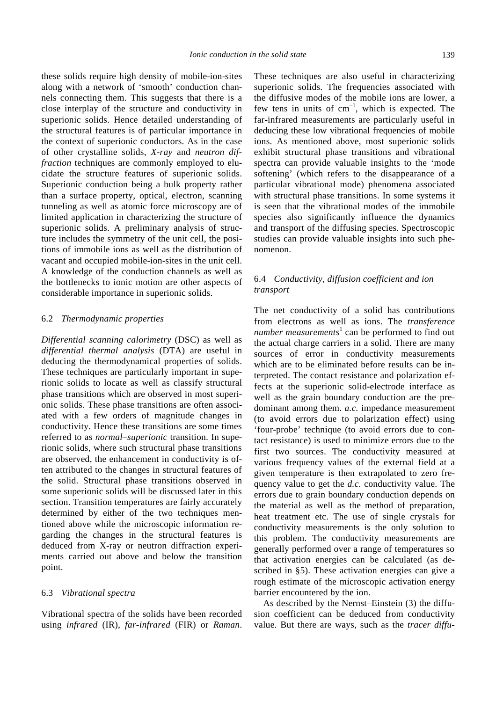these solids require high density of mobile-ion-sites along with a network of 'smooth' conduction channels connecting them. This suggests that there is a close interplay of the structure and conductivity in superionic solids. Hence detailed understanding of the structural features is of particular importance in the context of superionic conductors. As in the case of other crystalline solids, *X-ray* and *neutron diffraction* techniques are commonly employed to elucidate the structure features of superionic solids. Superionic conduction being a bulk property rather than a surface property, optical, electron, scanning tunneling as well as atomic force microscopy are of limited application in characterizing the structure of superionic solids. A preliminary analysis of structure includes the symmetry of the unit cell, the positions of immobile ions as well as the distribution of vacant and occupied mobile-ion-sites in the unit cell. A knowledge of the conduction channels as well as the bottlenecks to ionic motion are other aspects of considerable importance in superionic solids.

#### 6.2 *Thermodynamic properties*

*Differential scanning calorimetry* (DSC) as well as *differential thermal analysis* (DTA) are useful in deducing the thermodynamical properties of solids. These techniques are particularly important in superionic solids to locate as well as classify structural phase transitions which are observed in most superionic solids. These phase transitions are often associated with a few orders of magnitude changes in conductivity. Hence these transitions are some times referred to as *normal–superionic* transition. In superionic solids, where such structural phase transitions are observed, the enhancement in conductivity is often attributed to the changes in structural features of the solid. Structural phase transitions observed in some superionic solids will be discussed later in this section. Transition temperatures are fairly accurately determined by either of the two techniques mentioned above while the microscopic information regarding the changes in the structural features is deduced from X-ray or neutron diffraction experiments carried out above and below the transition point.

#### 6.3 *Vibrational spectra*

Vibrational spectra of the solids have been recorded using *infrared* (IR), *far-infrared* (FIR) or *Raman*. These techniques are also useful in characterizing superionic solids. The frequencies associated with the diffusive modes of the mobile ions are lower, a few tens in units of  $cm^{-1}$ , which is expected. The far-infrared measurements are particularly useful in deducing these low vibrational frequencies of mobile ions. As mentioned above, most superionic solids exhibit structural phase transitions and vibrational spectra can provide valuable insights to the 'mode softening' (which refers to the disappearance of a particular vibrational mode) phenomena associated with structural phase transitions. In some systems it is seen that the vibrational modes of the immobile species also significantly influence the dynamics and transport of the diffusing species. Spectroscopic studies can provide valuable insights into such phenomenon.

# 6.4 *Conductivity, diffusion coefficient and ion transport*

The net conductivity of a solid has contributions from electrons as well as ions. The *transference*  number measurements<sup>1</sup> can be performed to find out the actual charge carriers in a solid. There are many sources of error in conductivity measurements which are to be eliminated before results can be interpreted. The contact resistance and polarization effects at the superionic solid-electrode interface as well as the grain boundary conduction are the predominant among them. *a.c.* impedance measurement (to avoid errors due to polarization effect) using 'four-probe' technique (to avoid errors due to contact resistance) is used to minimize errors due to the first two sources. The conductivity measured at various frequency values of the external field at a given temperature is then extrapolated to zero frequency value to get the *d.c.* conductivity value. The errors due to grain boundary conduction depends on the material as well as the method of preparation, heat treatment etc. The use of single crystals for conductivity measurements is the only solution to this problem. The conductivity measurements are generally performed over a range of temperatures so that activation energies can be calculated (as described in §5). These activation energies can give a rough estimate of the microscopic activation energy barrier encountered by the ion.

As described by the Nernst–Einstein (3) the diffusion coefficient can be deduced from conductivity value. But there are ways, such as the *tracer diffu-*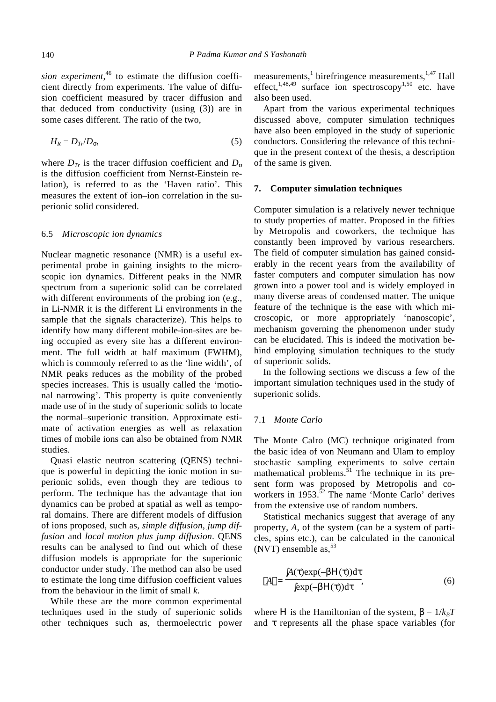sion experiment,<sup>46</sup> to estimate the diffusion coefficient directly from experiments. The value of diffusion coefficient measured by tracer diffusion and that deduced from conductivity (using (3)) are in some cases different. The ratio of the two,

$$
H_R = D_{Tr}/D_{\mathbf{s}},\tag{5}
$$

where  $D_{Tr}$  is the tracer diffusion coefficient and  $D_s$ is the diffusion coefficient from Nernst-Einstein relation), is referred to as the 'Haven ratio'. This measures the extent of ion–ion correlation in the superionic solid considered.

## 6.5 *Microscopic ion dynamics*

Nuclear magnetic resonance (NMR) is a useful experimental probe in gaining insights to the microscopic ion dynamics. Different peaks in the NMR spectrum from a superionic solid can be correlated with different environments of the probing ion (e.g., in Li-NMR it is the different Li environments in the sample that the signals characterize). This helps to identify how many different mobile-ion-sites are being occupied as every site has a different environment. The full width at half maximum (FWHM), which is commonly referred to as the 'line width', of NMR peaks reduces as the mobility of the probed species increases. This is usually called the 'motional narrowing'. This property is quite conveniently made use of in the study of superionic solids to locate the normal–superionic transition. Approximate estimate of activation energies as well as relaxation times of mobile ions can also be obtained from NMR studies.

Quasi elastic neutron scattering (QENS) technique is powerful in depicting the ionic motion in superionic solids, even though they are tedious to perform. The technique has the advantage that ion dynamics can be probed at spatial as well as temporal domains. There are different models of diffusion of ions proposed, such as, *simple diffusion*, *jump diffusion* and *local motion plus jump diffusion*. QENS results can be analysed to find out which of these diffusion models is appropriate for the superionic conductor under study. The method can also be used to estimate the long time diffusion coefficient values from the behaviour in the limit of small *k*.

While these are the more common experimental techniques used in the study of superionic solids other techniques such as, thermoelectric power

measurements,<sup>1</sup> birefringence measurements,<sup>1,47</sup> Hall effect,<sup>1,48,49</sup> surface ion spectroscopy<sup>1,50</sup> etc. have also been used.

Apart from the various experimental techniques discussed above, computer simulation techniques have also been employed in the study of superionic conductors. Considering the relevance of this technique in the present context of the thesis, a description of the same is given.

#### **7. Computer simulation techniques**

Computer simulation is a relatively newer technique to study properties of matter. Proposed in the fifties by Metropolis and coworkers, the technique has constantly been improved by various researchers. The field of computer simulation has gained considerably in the recent years from the availability of faster computers and computer simulation has now grown into a power tool and is widely employed in many diverse areas of condensed matter. The unique feature of the technique is the ease with which microscopic, or more appropriately 'nanoscopic', mechanism governing the phenomenon under study can be elucidated. This is indeed the motivation behind employing simulation techniques to the study of superionic solids.

In the following sections we discuss a few of the important simulation techniques used in the study of superionic solids.

## 7.1 *Monte Carlo*

The Monte Calro (MC) technique originated from the basic idea of von Neumann and Ulam to employ stochastic sampling experiments to solve certain mathematical problems. $\frac{5}{51}$  The technique in its present form was proposed by Metropolis and coworkers in 1953. $52$  The name 'Monte Carlo' derives from the extensive use of random numbers.

Statistical mechanics suggest that average of any property, *A*, of the system (can be a system of particles, spins etc.), can be calculated in the canonical (NVT) ensemble as,  $53$ 

$$
\langle A \rangle = \frac{\int A(t) \exp(-bH(t))dt}{\int \exp(-bH(t))dt},\tag{6}
$$

where **H** is the Hamiltonian of the system,  $\mathbf{b} = 1/k_B T$ and *t* represents all the phase space variables (for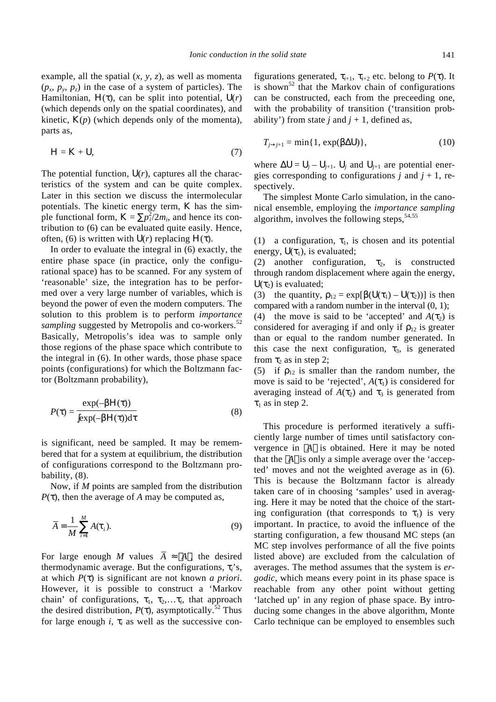example, all the spatial  $(x, y, z)$ , as well as momenta  $(p_x, p_y, p_z)$  in the case of a system of particles). The Hamiltonian,  $H(t)$ , can be split into potential,  $U(r)$ (which depends only on the spatial coordinates), and kinetic,  $\mathbf{K}(p)$  (which depends only of the momenta), parts as,

$$
\mathbf{H} = \mathbf{K} + \mathbf{U},\tag{7}
$$

The potential function,  $U(r)$ , captures all the characteristics of the system and can be quite complex. Later in this section we discuss the intermolecular potentials. The kinetic energy term,  $K$  has the simple functional form,  $\mathbf{K} = \sum p_i^2 / 2m_i$ , and hence its contribution to (6) can be evaluated quite easily. Hence, often, (6) is written with  $U(r)$  replacing  $H(t)$ .

In order to evaluate the integral in (6) exactly, the entire phase space (in practice, only the configurational space) has to be scanned. For any system of 'reasonable' size, the integration has to be performed over a very large number of variables, which is beyond the power of even the modern computers. The solution to this problem is to perform *importance*  sampling suggested by Metropolis and co-workers.<sup>52</sup> Basically, Metropolis's idea was to sample only those regions of the phase space which contribute to the integral in (6). In other wards, those phase space points (configurations) for which the Boltzmann factor (Boltzmann probability),

$$
P(t) = \frac{\exp(-bH(t))}{\int \exp(-bH(t))dt}
$$
 (8)

is significant, need be sampled. It may be remembered that for a system at equilibrium, the distribution of configurations correspond to the Boltzmann probability, (8).

Now, if *M* points are sampled from the distribution  $P(t)$ , then the average of *A* may be computed as,

$$
\overline{A} = \frac{1}{M} \sum_{i=1}^{M} A(t_i). \tag{9}
$$

For large enough *M* values  $\overline{A} \approx \langle A \rangle$ , the desired thermodynamic average. But the configurations, *ti*'s, at which *P*(*t*) is significant are not known *a priori*. However, it is possible to construct a 'Markov chain' of configurations,  $t_1$ ,  $t_2$ ,... $t_i$ , that approach the desired distribution,  $P(t)$ , asymptotically.<sup>52</sup> Thus for large enough  $i$ ,  $t_i$  as well as the successive con-

figurations generated,  $t_{i+1}$ ,  $t_{i+2}$  etc. belong to  $P(t)$ . It is shown<sup>52</sup> that the Markov chain of configurations can be constructed, each from the preceeding one, with the probability of transition ('transition probability') from state *j* and  $j + 1$ , defined as,

$$
T_{j \to j+1} = \min\{1, \exp(\mathbf{b}\Delta \mathbf{U})\},\tag{10}
$$

where  $\Delta \mathbf{U} = \mathbf{U}_j - \mathbf{U}_{j+1}$ .  $\mathbf{U}_j$  and  $\mathbf{U}_{j+1}$  are potential energies corresponding to configurations  $j$  and  $j + 1$ , respectively.

The simplest Monte Carlo simulation, in the canonical ensemble, employing the *importance sampling* algorithm, involves the following steps,  $54,55$ 

(1) a configuration,  $t_1$ , is chosen and its potential energy,  $U(t_1)$ , is evaluated;

(2) another configuration,  $t_2$ , is constructed through random displacement where again the energy,  $U(t_2)$  is evaluated;

(3) the quantity,  $\mathbf{r}_{12} = \exp[\mathbf{b}(\mathbf{U}(\mathbf{t}_1) - \mathbf{U}(\mathbf{t}_2))]$  is then compared with a random number in the interval (0, 1);

(4) the move is said to be 'accepted' and  $A(t_2)$  is considered for averaging if and only if  $r_{12}$  is greater than or equal to the random number generated. In this case the next configuration,  $t_3$ , is generated from  $t_2$  as in step 2;

(5) if  $r_{12}$  is smaller than the random number, the move is said to be 'rejected',  $A(t_1)$  is considered for averaging instead of  $A(t_2)$  and  $t_3$  is generated from  $t_1$  as in step 2.

This procedure is performed iteratively a sufficiently large number of times until satisfactory convergence in  $\langle A \rangle$  is obtained. Here it may be noted that the  $\langle A \rangle$  is only a simple average over the 'accepted' moves and not the weighted average as in (6). This is because the Boltzmann factor is already taken care of in choosing 'samples' used in averaging. Here it may be noted that the choice of the starting configuration (that corresponds to  $t_1$ ) is very important. In practice, to avoid the influence of the starting configuration, a few thousand MC steps (an MC step involves performance of all the five points listed above) are excluded from the calculation of averages. The method assumes that the system is *ergodic*, which means every point in its phase space is reachable from any other point without getting 'latched up' in any region of phase space. By introducing some changes in the above algorithm, Monte Carlo technique can be employed to ensembles such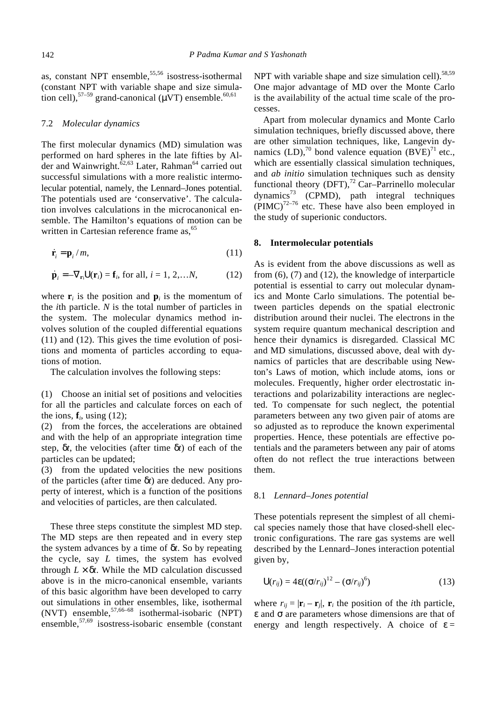as, constant NPT ensemble, $55,56$  isostress-isothermal (constant NPT with variable shape and size simulation cell),<sup>57–59</sup> grand-canonical ( $\overline{m}$ VT) ensemble.<sup>60,61</sup>

## 7.2 *Molecular dynamics*

The first molecular dynamics (MD) simulation was performed on hard spheres in the late fifties by Alder and Wainwright.<sup> $62,63$ </sup> Later, Rahman<sup>64</sup> carried out successful simulations with a more realistic intermolecular potential, namely, the Lennard–Jones potential. The potentials used are 'conservative'. The calculation involves calculations in the microcanonical ensemble. The Hamilton's equations of motion can be written in Cartesian reference frame as,<sup>65</sup>

$$
\dot{\mathbf{r}}_i = \mathbf{p}_i / m,\tag{11}
$$

$$
\dot{\mathbf{p}}_i = -\nabla_{\mathbf{r}_i} \mathbf{U}(\mathbf{r}_i) = \mathbf{f}_i, \text{ for all, } i = 1, 2, \dots N,
$$
 (12)

where  $\mathbf{r}_i$  is the position and  $\mathbf{p}_i$  is the momentum of the *i*th particle. *N* is the total number of particles in the system. The molecular dynamics method involves solution of the coupled differential equations (11) and (12). This gives the time evolution of positions and momenta of particles according to equations of motion.

The calculation involves the following steps:

(1) Choose an initial set of positions and velocities for all the particles and calculate forces on each of the ions,  $\mathbf{f}_i$ , using (12);

(2) from the forces, the accelerations are obtained and with the help of an appropriate integration time step, *dt*, the velocities (after time *dt*) of each of the particles can be updated;

(3) from the updated velocities the new positions of the particles (after time *dt*) are deduced. Any property of interest, which is a function of the positions and velocities of particles, are then calculated.

These three steps constitute the simplest MD step. The MD steps are then repeated and in every step the system advances by a time of *dt*. So by repeating the cycle, say *L* times, the system has evolved through  $L \times dt$ . While the MD calculation discussed above is in the micro-canonical ensemble, variants of this basic algorithm have been developed to carry out simulations in other ensembles, like, isothermal (NVT) ensemble,<sup>57,66–68</sup> isothermal-isobaric (NPT) ensemble,<sup>57,69</sup> isostress-isobaric ensemble (constant NPT with variable shape and size simulation cell). $58,59$ One major advantage of MD over the Monte Carlo is the availability of the actual time scale of the processes.

Apart from molecular dynamics and Monte Carlo simulation techniques, briefly discussed above, there are other simulation techniques, like, Langevin dynamics (LD),<sup>70</sup> bond valence equation  $(BVE)^{71}$  etc., which are essentially classical simulation techniques, and *ab initio* simulation techniques such as density functional theory  $(DFT)$ ,<sup>72</sup> Car–Parrinello molecular  $dynamics^{73}$  (CPMD), path integral techniques  $(PIMC)^{72-76}$  etc. These have also been employed in the study of superionic conductors.

# **8. Intermolecular potentials**

As is evident from the above discussions as well as from (6), (7) and (12), the knowledge of interparticle potential is essential to carry out molecular dynamics and Monte Carlo simulations. The potential between particles depends on the spatial electronic distribution around their nuclei. The electrons in the system require quantum mechanical description and hence their dynamics is disregarded. Classical MC and MD simulations, discussed above, deal with dynamics of particles that are describable using Newton's Laws of motion, which include atoms, ions or molecules. Frequently, higher order electrostatic interactions and polarizability interactions are neglected. To compensate for such neglect, the potential parameters between any two given pair of atoms are so adjusted as to reproduce the known experimental properties. Hence, these potentials are effective potentials and the parameters between any pair of atoms often do not reflect the true interactions between them.

### 8.1 *Lennard–Jones potential*

These potentials represent the simplest of all chemical species namely those that have closed-shell electronic configurations. The rare gas systems are well described by the Lennard–Jones interaction potential given by,

$$
\mathbf{U}(r_{ij}) = 4\mathbf{e}((\mathbf{s}/r_{ij})^{12} - (\mathbf{s}/r_{ij})^6)
$$
 (13)

where  $r_{ij} = |\mathbf{r}_i - \mathbf{r}_j|$ ,  $\mathbf{r}_i$  the position of the *i*th particle, *e* and *s* are parameters whose dimensions are that of energy and length respectively. A choice of  $e =$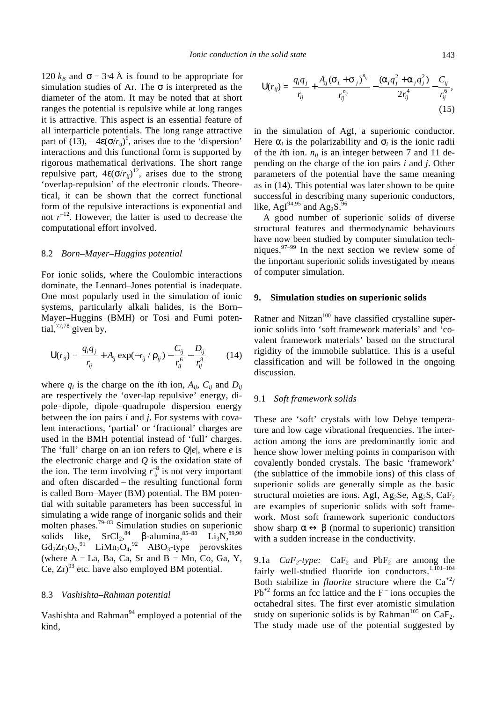120  $k_B$  and  $\mathbf{s} = 3.4 \text{ Å}$  is found to be appropriate for simulation studies of Ar. The *s* is interpreted as the diameter of the atom. It may be noted that at short ranges the potential is repulsive while at long ranges it is attractive. This aspect is an essential feature of all interparticle potentials. The long range attractive part of (13),  $-4\mathbf{e}(\mathbf{s}/r_{ij})^6$ , arises due to the 'dispersion' interactions and this functional form is supported by rigorous mathematical derivations. The short range repulsive part,  $4e(S/r_{ij})^{12}$ , arises due to the strong 'overlap-repulsion' of the electronic clouds. Theoretical, it can be shown that the correct functional form of the repulsive interactions is exponential and not  $r^{-12}$ . However, the latter is used to decrease the computational effort involved.

#### 8.2 *Born–Mayer–Huggins potential*

For ionic solids, where the Coulombic interactions dominate, the Lennard–Jones potential is inadequate. One most popularly used in the simulation of ionic systems, particularly alkali halides, is the Born– Mayer–Huggins (BMH) or Tosi and Fumi potential, $^{77,78}$  given by,

$$
\mathbf{U}(r_{ij}) = \frac{q_i q_j}{r_{ij}} + A_{ij} \exp(-r_{ij} / r_{ij}) - \frac{C_{ij}}{r_{ij}^6} - \frac{D_{ij}}{r_{ij}^8}
$$
(14)

where  $q_i$  is the charge on the *i*th ion,  $A_{ij}$ ,  $C_{ij}$  and  $D_{ij}$ are respectively the 'over-lap repulsive' energy, dipole–dipole, dipole–quadrupole dispersion energy between the ion pairs *i* and *j*. For systems with covalent interactions, 'partial' or 'fractional' charges are used in the BMH potential instead of 'full' charges. The 'full' charge on an ion refers to *Q*|*e*|, where *e* is the electronic charge and *Q* is the oxidation state of the ion. The term involving  $r_{ij}^{\text{-}8}$  is not very important and often discarded – the resulting functional form is called Born–Mayer (BM) potential. The BM potential with suitable parameters has been successful in simulating a wide range of inorganic solids and their molten phases.<sup>79–83</sup> Simulation studies on superionic solids like,  $SrCl<sub>2</sub>,<sup>84</sup>$  *b*-alumina,<sup>85–88</sup> Li<sub>3</sub>N,<sup>89,90</sup>  $Gd_2Zr_2O_7$ ,<sup>91</sup> LiMn<sub>2</sub>O<sub>4</sub>,<sup>92</sup> ABO<sub>3</sub>-type perovskites (where  $A = La$ , Ba, Ca, Sr and  $B = Mn$ , Co, Ga, Y, Ce,  $Zr$ <sup>93</sup> etc. have also employed BM potential.

### 8.3 *Vashishta–Rahman potential*

Vashishta and Rahman<sup>94</sup> employed a potential of the kind,

$$
\mathbf{U}(r_{ij}) = \frac{q_i q_j}{r_{ij}} + \frac{A_{ij} (\mathbf{s}_i + \mathbf{s}_j)^{n_{ij}}}{r_{ij}^{n_{ij}}} - \frac{(\mathbf{a}_i q_j^2 + \mathbf{a}_j q_j^2)}{2r_{ij}^4} - \frac{C_{ij}}{r_{ij}^6},
$$
\n(15)

in the simulation of AgI, a superionic conductor. Here  $a_i$  is the polarizability and  $s_i$  is the ionic radii of the *i*th ion.  $n_{ij}$  is an integer between 7 and 11 depending on the charge of the ion pairs *i* and *j*. Other parameters of the potential have the same meaning as in (14). This potential was later shown to be quite successful in describing many superionic conductors, like, AgI<sup>94,95</sup> and Ag<sub>2</sub>S.<sup>96</sup>

A good number of superionic solids of diverse structural features and thermodynamic behaviours have now been studied by computer simulation techniques. $97-99$  In the next section we review some of the important superionic solids investigated by means of computer simulation.

# **9. Simulation studies on superionic solids**

Ratner and Nitzan<sup>100</sup> have classified crystalline superionic solids into 'soft framework materials' and 'covalent framework materials' based on the structural rigidity of the immobile sublattice. This is a useful classification and will be followed in the ongoing discussion.

#### 9.1 *Soft framework solids*

These are 'soft' crystals with low Debye temperature and low cage vibrational frequencies. The interaction among the ions are predominantly ionic and hence show lower melting points in comparison with covalently bonded crystals. The basic 'framework' (the sublattice of the immobile ions) of this class of superionic solids are generally simple as the basic structural moieties are ions. AgI, Ag<sub>2</sub>Se, Ag<sub>2</sub>S, CaF<sub>2</sub> are examples of superionic solids with soft framework. Most soft framework superionic conductors show sharp  $a \leftrightarrow b$  (normal to superionic) transition with a sudden increase in the conductivity.

9.1a  $CaF_2$ -type:  $CaF_2$  and  $PbF_2$  are among the fairly well-studied fluoride ion conductors.<sup>1,101-104</sup> Both stabilize in *fluorite* structure where the  $Ca^{+2}$ /  $Pb^{+2}$  forms an fcc lattice and the  $F^-$  ions occupies the octahedral sites. The first ever atomistic simulation study on superionic solids is by Rahman<sup>105</sup> on CaF<sub>2</sub>. The study made use of the potential suggested by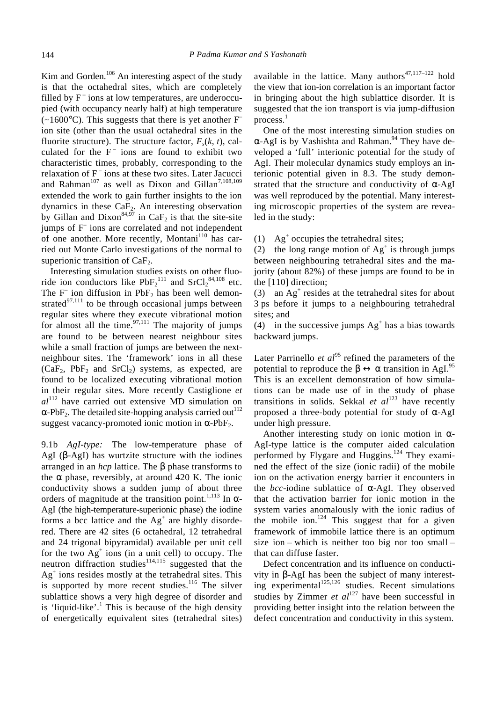Kim and Gorden. $106$  An interesting aspect of the study is that the octahedral sites, which are completely filled by  $F<sup>-</sup>$  ions at low temperatures, are underoccupied (with occupancy nearly half) at high temperature  $(-1600^{\circ}C)$ . This suggests that there is yet another F<sup>–</sup> ion site (other than the usual octahedral sites in the fluorite structure). The structure factor,  $F_s(k, t)$ , calculated for the  $F<sup>-</sup>$  ions are found to exhibit two characteristic times, probably, corresponding to the relaxation of F<sup>-</sup>ions at these two sites. Later Jacucci and Rahman<sup>107</sup> as well as Dixon and Gillan<sup>7,108,109</sup> extended the work to gain further insights to the ion dynamics in these CaF<sub>2</sub>. An interesting observation by Gillan and Dixon<sup>84,97</sup> in CaF<sub>2</sub> is that the site-site jumps of F– ions are correlated and not independent of one another. More recently, Montani<sup>110</sup> has carried out Monte Carlo investigations of the normal to superionic transition of  $CaF<sub>2</sub>$ .

Interesting simulation studies exists on other fluoride ion conductors like  $PbF_2^{111}$  and  $SrCl_2^{84,108}$  etc. The  $F^-$  ion diffusion in Pb $F_2$  has been well demonstrated $97,111$  to be through occasional jumps between regular sites where they execute vibrational motion for almost all the time.  $97,111$  The majority of jumps are found to be between nearest neighbour sites while a small fraction of jumps are between the nextneighbour sites. The 'framework' ions in all these  $(CaF_2, PbF_2, and SrCl_2)$  systems, as expected, are found to be localized executing vibrational motion in their regular sites. More recently Castiglione *et al*<sup>112</sup> have carried out extensive MD simulation on  $a$ -PbF<sub>2</sub>. The detailed site-hopping analysis carried out<sup>112</sup> suggest vacancy-promoted ionic motion in  $a$ -PbF<sub>2</sub>.

9.1b *AgI-type:* The low-temperature phase of AgI (*b*-AgI) has wurtzite structure with the iodines arranged in an *hcp* lattice. The *b* phase transforms to the *a* phase, reversibly, at around 420 K. The ionic conductivity shows a sudden jump of about three orders of magnitude at the transition point.<sup>1,113</sup> In  $a$ -AgI (the high-temperature-superionic phase) the iodine forms a bcc lattice and the  $Ag<sup>+</sup>$  are highly disordered. There are 42 sites (6 octahedral, 12 tetrahedral and 24 trigonal bipyramidal) available per unit cell for the two  $Ag<sup>+</sup>$  ions (in a unit cell) to occupy. The neutron diffraction studies $^{114,115}$  suggested that the Ag<sup>+</sup> ions resides mostly at the tetrahedral sites. This is supported by more recent studies.<sup>116</sup> The silver sublattice shows a very high degree of disorder and is 'liquid-like'.<sup>1</sup> This is because of the high density of energetically equivalent sites (tetrahedral sites)

available in the lattice. Many authors<sup>47,117–122</sup> hold the view that ion-ion correlation is an important factor in bringing about the high sublattice disorder. It is suggested that the ion transport is via jump-diffusion process. $<sup>1</sup>$ </sup>

One of the most interesting simulation studies on a-AgI is by Vashishta and Rahman.<sup>94</sup> They have developed a 'full' interionic potential for the study of AgI. Their molecular dynamics study employs an interionic potential given in 8.3. The study demonstrated that the structure and conductivity of *a*-AgI was well reproduced by the potential. Many interesting microscopic properties of the system are revealed in the study:

(1) Ag<sup>+</sup> occupies the tetrahedral sites;

(2) the long range motion of  $Ag<sup>+</sup>$  is through jumps between neighbouring tetrahedral sites and the majority (about 82%) of these jumps are found to be in the [110] direction;

(3) an  $Ag<sup>+</sup>$  resides at the tetrahedral sites for about 3 ps before it jumps to a neighbouring tetrahedral sites; and

(4) in the successive jumps  $Ag<sup>+</sup>$  has a bias towards backward jumps.

Later Parrinello *et al*<sup>95</sup> refined the parameters of the potential to reproduce the  $b \leftrightarrow a$  transition in AgI.<sup>95</sup> This is an excellent demonstration of how simulations can be made use of in the study of phase transitions in solids. Sekkal *et*  $al^{123}$  have recently proposed a three-body potential for study of *a*-AgI under high pressure.

Another interesting study on ionic motion in *a*-AgI-type lattice is the computer aided calculation performed by Flygare and Huggins.<sup>124</sup> They examined the effect of the size (ionic radii) of the mobile ion on the activation energy barrier it encounters in the *bcc*-iodine sublattice of *a*-AgI. They observed that the activation barrier for ionic motion in the system varies anomalously with the ionic radius of the mobile ion.<sup>124</sup> This suggest that for a given framework of immobile lattice there is an optimum size ion – which is neither too big nor too small – that can diffuse faster.

Defect concentration and its influence on conductivity in *b*-AgI has been the subject of many interesting experimental<sup>125,126</sup> studies. Recent simulations studies by Zimmer  $et \t al^{127}$  have been successful in providing better insight into the relation between the defect concentration and conductivity in this system.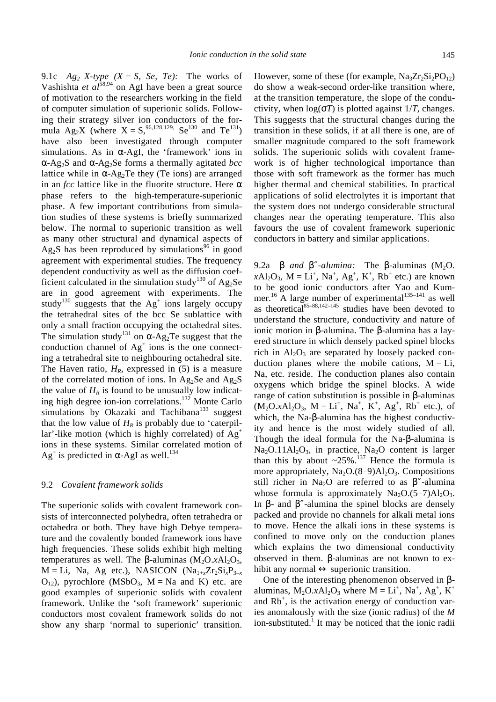9.1c  $Ag_2$   $X$ -type  $(X = S, Se, Te)$ : The works of Vashishta *et al*58,94 on AgI have been a great source of motivation to the researchers working in the field of computer simulation of superionic solids. Following their strategy silver ion conductors of the formula Ag<sub>2</sub>X (where  $X = S$ , <sup>96,128,129,</sup> Se<sup>130</sup> and Te<sup>131</sup>) have also been investigated through computer simulations. As in *a*-AgI, the 'framework' ions in *a*-Ag2S and *a*-Ag2Se forms a thermally agitated *bcc* lattice while in  $a$ -Ag<sub>2</sub>Te they (Te ions) are arranged in an *fcc* lattice like in the fluorite structure. Here *a* phase refers to the high-temperature-superionic phase. A few important contributions from simulation studies of these systems is briefly summarized below. The normal to superionic transition as well as many other structural and dynamical aspects of  $Ag<sub>2</sub>S$  has been reproduced by simulations<sup>96</sup> in good agreement with experimental studies. The frequency dependent conductivity as well as the diffusion coefficient calculated in the simulation study<sup>130</sup> of Ag<sub>2</sub>Se are in good agreement with experiments. The study<sup>130</sup> suggests that the  $Ag<sup>+</sup>$  ions largely occupy the tetrahedral sites of the bcc Se sublattice with only a small fraction occupying the octahedral sites. The simulation study<sup>131</sup> on  $\vec{a}$ -Ag<sub>2</sub>Te suggest that the conduction channel of  $Ag<sup>+</sup>$  ions is the one connecting a tetrahedral site to neighbouring octahedral site. The Haven ratio,  $H_R$ , expressed in (5) is a measure of the correlated motion of ions. In Ag<sub>2</sub>Se and Ag<sub>2</sub>S the value of  $H_R$  is found to be unusually low indicating high degree ion-ion correlations.<sup>132</sup> Monte Carlo simulations by Okazaki and Tachibana<sup>133</sup> suggest that the low value of  $H_R$  is probably due to 'caterpillar'-like motion (which is highly correlated) of  $Ag^+$ ions in these systems. Similar correlated motion of  $Ag<sup>+</sup>$  is predicted in  $a$ -AgI as well.<sup>134</sup>

## 9.2 *Covalent framework solids*

The superionic solids with covalent framework consists of interconnected polyhedra, often tetrahedra or octahedra or both. They have high Debye temperature and the covalently bonded framework ions have high frequencies. These solids exhibit high melting temperatures as well. The **b**-aluminas  $(M_2O.xAl_2O_3)$ ,  $M = Li$ , Na, Ag etc.), NASICON (Na<sub>1+x</sub>Zr<sub>2</sub>Si<sub>x</sub>P<sub>3-x</sub>  $O_{12}$ ), pyrochlore (MSbO<sub>3</sub>, M = Na and K) etc. are good examples of superionic solids with covalent framework. Unlike the 'soft framework' superionic conductors most covalent framework solids do not show any sharp 'normal to superionic' transition.

However, some of these (for example,  $Na<sub>3</sub>Zr<sub>2</sub>Si<sub>2</sub>PO<sub>12</sub>$ ) do show a weak-second order-like transition where, at the transition temperature, the slope of the conductivity, when  $log(sT)$  is plotted against  $1/T$ , changes. This suggests that the structural changes during the transition in these solids, if at all there is one, are of smaller magnitude compared to the soft framework solids. The superionic solids with covalent framework is of higher technological importance than those with soft framework as the former has much higher thermal and chemical stabilities. In practical applications of solid electrolytes it is important that the system does not undergo considerable structural changes near the operating temperature. This also favours the use of covalent framework superionic conductors in battery and similar applications.

9.2a **b** and  $b^2$ -alumina: The **b**-aluminas (M<sub>2</sub>O.  $xAI_2O_3$ ,  $M = Li^+$ ,  $Na^+$ ,  $Ag^+$ ,  $K^+$ ,  $Rb^+$  etc.) are known to be good ionic conductors after Yao and Kummer.<sup>16</sup> A large number of experimental<sup>135–141</sup> as well as theoretical $85-88,142-145$  studies have been devoted to understand the structure, conductivity and nature of ionic motion in *b*-alumina. The *b*-alumina has a layered structure in which densely packed spinel blocks rich in  $Al_2O_3$  are separated by loosely packed conduction planes where the mobile cations,  $M = Li$ , Na, etc. reside. The conduction planes also contain oxygens which bridge the spinel blocks. A wide range of cation substitution is possible in *b*-aluminas  $(M_2O.xAl_2O_3, M = Li^+, Na^+, K^+, Ag^+, Rb^+$  etc.), of which, the Na-*b*-alumina has the highest conductivity and hence is the most widely studied of all. Though the ideal formula for the Na-*b*-alumina is  $Na<sub>2</sub>O.11Al<sub>2</sub>O<sub>3</sub>$ , in practice,  $Na<sub>2</sub>O$  content is larger than this by about  $\sim 25\%$ .<sup>137</sup> Hence the formula is more appropriately,  $Na<sub>2</sub>O.(8–9)Al<sub>2</sub>O<sub>3</sub>$ . Compositions still richer in Na<sub>2</sub>O are referred to as  $b^2$ -alumina whose formula is approximately  $Na<sub>2</sub>O.(5-7)Al<sub>2</sub>O<sub>3</sub>$ . In **- and**  $**b**<sup>2</sup>$ **-alumina the spinel blocks are densely** packed and provide no channels for alkali metal ions to move. Hence the alkali ions in these systems is confined to move only on the conduction planes which explains the two dimensional conductivity observed in them. *b*-aluminas are not known to exhibit any normal  $\leftrightarrow$  superionic transition.

One of the interesting phenomenon observed in *b*aluminas,  $M_2O.xAl_2O_3$  where  $M = Li^+$ ,  $Na^+$ ,  $Ag^+$ ,  $K^+$ and Rb<sup>+</sup>, is the activation energy of conduction varies anomalously with the size (ionic radius) of the *M* ion-substituted.<sup>1</sup> It may be noticed that the ionic radii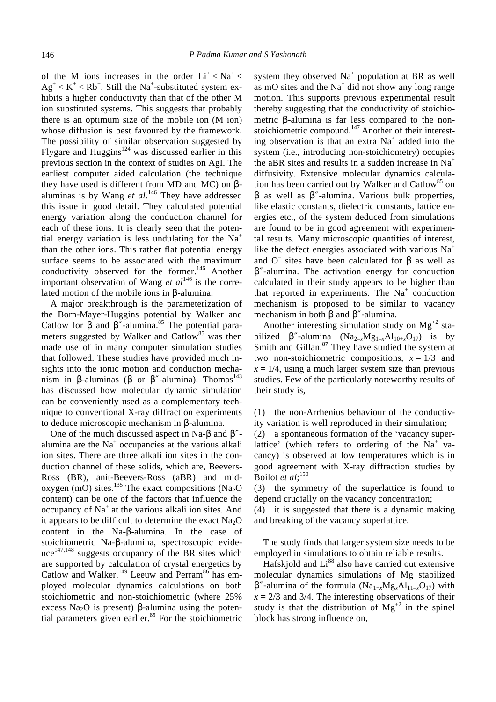of the M ions increases in the order  $Li^+ < Na^+ <$  $Ag^+ < K^+ < Rb^+$ . Still the Na<sup>+</sup>-substituted system exhibits a higher conductivity than that of the other M ion substituted systems. This suggests that probably there is an optimum size of the mobile ion (M ion) whose diffusion is best favoured by the framework. The possibility of similar observation suggested by Flygare and Huggins<sup>124</sup> was discussed earlier in this previous section in the context of studies on AgI. The earliest computer aided calculation (the technique they have used is different from MD and MC) on *b*aluminas is by Wang *et al.*<sup>146</sup> They have addressed this issue in good detail. They calculated potential energy variation along the conduction channel for each of these ions. It is clearly seen that the potential energy variation is less undulating for the  $Na<sup>+</sup>$ than the other ions. This rather flat potential energy surface seems to be associated with the maximum conductivity observed for the former.<sup>146</sup> Another important observation of Wang *et al*<sup>146</sup> is the correlated motion of the mobile ions in *b*-alumina.

A major breakthrough is the parameterization of the Born-Mayer-Huggins potential by Walker and Catlow for **b** and  $b^2$ -alumina.<sup>85</sup> The potential parameters suggested by Walker and Catlow<sup>85</sup> was then made use of in many computer simulation studies that followed. These studies have provided much insights into the ionic motion and conduction mechanism in **b**-aluminas (**b** or **b**<sup>2</sup>-alumina). Thomas<sup>143</sup> has discussed how molecular dynamic simulation can be conveniently used as a complementary technique to conventional X-ray diffraction experiments to deduce microscopic mechanism in *b*-alumina.

One of the much discussed aspect in Na-*b* and *b²* alumina are the  $Na<sup>+</sup>$  occupancies at the various alkali ion sites. There are three alkali ion sites in the conduction channel of these solids, which are, Beevers-Ross (BR), anit-Beevers-Ross (aBR) and midoxygen (mO) sites.<sup>135</sup> The exact compositions (Na<sub>2</sub>O) content) can be one of the factors that influence the occupancy of Na<sup>+</sup> at the various alkali ion sites. And it appears to be difficult to determine the exact  $Na<sub>2</sub>O$ content in the Na-*b*-alumina. In the case of stoichiometric Na-*b*-alumina, spectroscopic evide $nce^{147,148}$  suggests occupancy of the BR sites which are supported by calculation of crystal energetics by Catlow and Walker.<sup>149</sup> Leeuw and Perram<sup>86</sup> has employed molecular dynamics calculations on both stoichiometric and non-stoichiometric (where 25% excess  $Na<sub>2</sub>O$  is present) *b*-alumina using the potential parameters given earlier. $85$  For the stoichiometric

system they observed  $Na<sup>+</sup>$  population at BR as well as mO sites and the  $Na<sup>+</sup>$  did not show any long range motion. This supports previous experimental result thereby suggesting that the conductivity of stoichiometric *b*-alumina is far less compared to the nonstoichiometric compound. $147$  Another of their interesting observation is that an extra  $Na<sup>+</sup>$  added into the system (i.e., introducing non-stoichiometry) occupies the aBR sites and results in a sudden increase in  $Na<sup>+</sup>$ diffusivity. Extensive molecular dynamics calculation has been carried out by Walker and Catlow<sup>85</sup> on *b* as well as *b²*-alumina. Various bulk properties, like elastic constants, dielectric constants, lattice energies etc., of the system deduced from simulations are found to be in good agreement with experimental results. Many microscopic quantities of interest, like the defect energies associated with various  $Na<sup>+</sup>$ and  $O<sup>-</sup>$  sites have been calculated for **b** as well as *b²*-alumina. The activation energy for conduction calculated in their study appears to be higher than that reported in experiments. The  $Na<sup>+</sup>$  conduction mechanism is proposed to be similar to vacancy mechanism in both *b* and *b²*-alumina.

Another interesting simulation study on  $Mg^{+2}$  stabilized  $\boldsymbol{b}^2$ -alumina (Na<sub>2–*x*</sub>Mg<sub>1–*x*</sub>Al<sub>10+*x*</sub>O<sub>17</sub>) is by Smith and Gillan. $87$  They have studied the system at two non-stoichiometric compositions,  $x = 1/3$  and  $x = 1/4$ , using a much larger system size than previous studies. Few of the particularly noteworthy results of their study is,

(1) the non-Arrhenius behaviour of the conductivity variation is well reproduced in their simulation;

(2) a spontaneous formation of the 'vacancy superlattice' (which refers to ordering of the  $Na<sup>+</sup>$  vacancy) is observed at low temperatures which is in good agreement with X-ray diffraction studies by Boilot *et al*;<sup>150</sup>

(3) the symmetry of the superlattice is found to depend crucially on the vacancy concentration;

(4) it is suggested that there is a dynamic making and breaking of the vacancy superlattice.

The study finds that larger system size needs to be employed in simulations to obtain reliable results.

 $Hafskjold$  and  $Li<sup>88</sup>$  also have carried out extensive molecular dynamics simulations of Mg stabilized *b*<sup>2</sup>-alumina of the formula  $(Na_{1+x}Mg_{x}A_{11-x}O_{17})$  with  $x = 2/3$  and 3/4. The interesting observations of their study is that the distribution of  $Mg^{2}$  in the spinel block has strong influence on,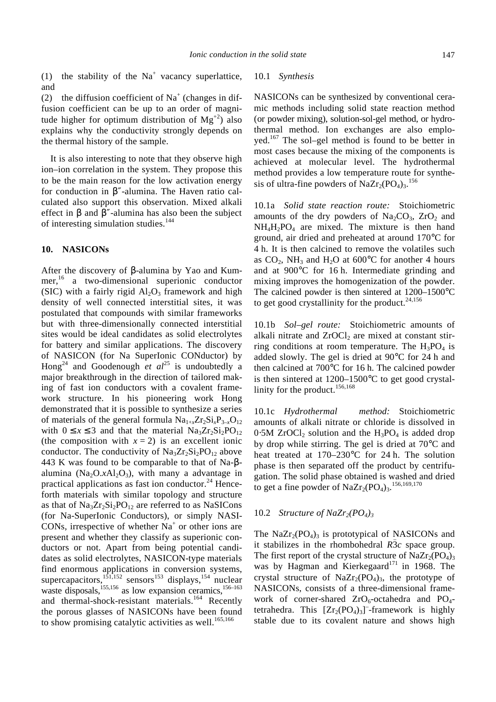(1) the stability of the  $Na<sup>+</sup>$  vacancy superlattice, and

(2) the diffusion coefficient of  $Na<sup>+</sup>$  (changes in diffusion coefficient can be up to an order of magnitude higher for optimum distribution of  $Mg^{2}$ ) also explains why the conductivity strongly depends on the thermal history of the sample.

It is also interesting to note that they observe high ion–ion correlation in the system. They propose this to be the main reason for the low activation energy for conduction in *b²*-alumina. The Haven ratio calculated also support this observation. Mixed alkali effect in *b* and *b²*-alumina has also been the subject of interesting simulation studies.<sup>144</sup>

#### **10. NASICONs**

After the discovery of *b*-alumina by Yao and Kummer,<sup>16</sup> a two-dimensional superionic conductor (SIC) with a fairly rigid  $Al_2O_3$  framework and high density of well connected interstitial sites, it was postulated that compounds with similar frameworks but with three-dimensionally connected interstitial sites would be ideal candidates as solid electrolytes for battery and similar applications. The discovery of NASICON (for Na SuperIonic CONductor) by Hong<sup>24</sup> and Goodenough  $et$   $al^{25}$  is undoubtedly a major breakthrough in the direction of tailored making of fast ion conductors with a covalent framework structure. In his pioneering work Hong demonstrated that it is possible to synthesize a series of materials of the general formula  $Na_{1+x}Zr_2Si_{x}P_{3-x}O_{12}$ with  $0 \le x \le 3$  and that the material Na<sub>3</sub>Zr<sub>2</sub>Si<sub>2</sub>PO<sub>12</sub> (the composition with  $x = 2$ ) is an excellent ionic conductor. The conductivity of  $Na<sub>3</sub>Zr<sub>2</sub>Si<sub>2</sub>PO<sub>12</sub>$  above 443 K was found to be comparable to that of Na-*b*alumina ( $Na<sub>2</sub>O<sub>x</sub>Al<sub>2</sub>O<sub>3</sub>$ ), with many a advantage in practical applications as fast ion conductor. $^{24}$  Henceforth materials with similar topology and structure as that of  $Na<sub>3</sub>Zr<sub>2</sub>Si<sub>2</sub>PO<sub>12</sub>$  are referred to as NaSICons (for Na-SuperIonic Conductors), or simply NASI-CONs, irrespective of whether  $Na<sup>+</sup>$  or other ions are present and whether they classify as superionic conductors or not. Apart from being potential candidates as solid electrolytes, NASICON-type materials find enormous applications in conversion systems, supercapacitors,  $151,152$  sensors<sup>153</sup> displays, <sup>154</sup> nuclear waste disposals,<sup>155,156</sup> as low expansion ceramics,<sup>156–163</sup> and thermal-shock-resistant materials.<sup>164</sup> Recently the porous glasses of NASICONs have been found to show promising catalytic activities as well. $165,166$ 

## 10.1 *Synthesis*

NASICONs can be synthesized by conventional ceramic methods including solid state reaction method (or powder mixing), solution-sol-gel method, or hydrothermal method. Ion exchanges are also employed.<sup>167</sup> The sol–gel method is found to be better in most cases because the mixing of the components is achieved at molecular level. The hydrothermal method provides a low temperature route for synthesis of ultra-fine powders of  $NaZr_2(PO_4)_3$ .<sup>156</sup>

10.1a *Solid state reaction route:* Stoichiometric amounts of the dry powders of  $Na<sub>2</sub>CO<sub>3</sub>$ ,  $ZrO<sub>2</sub>$  and  $NH<sub>4</sub>H<sub>2</sub>PO<sub>4</sub>$  are mixed. The mixture is then hand ground, air dried and preheated at around 170°C for 4 h. It is then calcined to remove the volatiles such as  $CO<sub>2</sub>$ , NH<sub>3</sub> and H<sub>2</sub>O at 600<sup>o</sup>C for another 4 hours and at 900°C for 16 h. Intermediate grinding and mixing improves the homogenization of the powder. The calcined powder is then sintered at 1200–1500°C to get good crystallinity for the product.<sup>24,156</sup>

10.1b *Sol–gel route:* Stoichiometric amounts of alkali nitrate and  $ZrOCl<sub>2</sub>$  are mixed at constant stirring conditions at room temperature. The  $H_3PO_4$  is added slowly. The gel is dried at 90°C for 24 h and then calcined at 700°C for 16 h. The calcined powder is then sintered at  $1200-1500$ °C to get good crystallinity for the product. $156,168$ 

10.1c *Hydrothermal method:* Stoichiometric amounts of alkali nitrate or chloride is dissolved in 0⋅5M ZrOCl2 solution and the H<sub>3</sub>PO<sub>4</sub> is added drop by drop while stirring. The gel is dried at 70°C and heat treated at 170–230°C for 24 h. The solution phase is then separated off the product by centrifugation. The solid phase obtained is washed and dried to get a fine powder of  $\text{NaZr}_2(\text{PO}_4)_{3}.^{156,169,170}$ 

## 10.2 *Structure of NaZr*<sub>2</sub> $(PO_4)$ <sup>3</sup>

The  $NaZr_2(PO_4)$ <sub>3</sub> is prototypical of NASICONs and it stabilizes in the rhombohedral  $R\overline{3}c$  space group. The first report of the crystal structure of  $\text{NaZr}_2(\text{PO}_4)_3$ was by Hagman and Kierkegaard<sup>171</sup> in 1968. The crystal structure of  $NaZr_2(PO_4)_3$ , the prototype of NASICONs, consists of a three-dimensional framework of corner-shared  $ZrO_6$ -octahedra and PO<sub>4</sub>tetrahedra. This  $[Zr_2(PO_4)_3]$ -framework is highly stable due to its covalent nature and shows high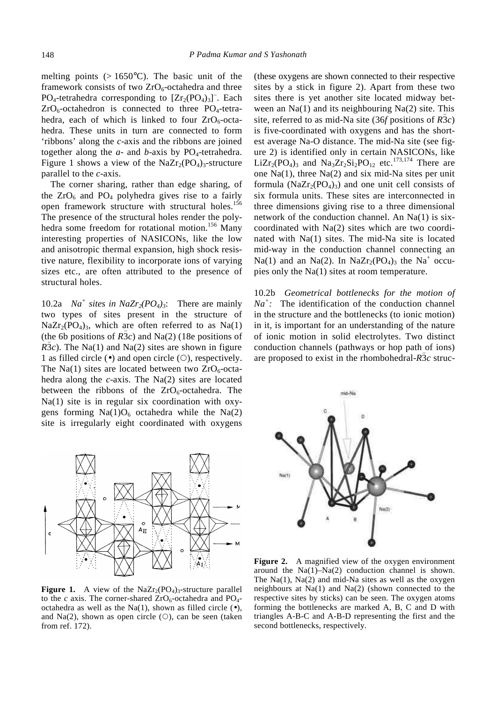melting points  $(>1650^{\circ}C)$ . The basic unit of the framework consists of two  $ZrO<sub>6</sub>$ -octahedra and three  $PO_4$ -tetrahedra corresponding to  $[Zr_2(PO_4)_3]$ . Each  $ZrO_6$ -octahedron is connected to three PO<sub>4</sub>-tetrahedra, each of which is linked to four  $ZrO_6$ -octahedra. These units in turn are connected to form 'ribbons' along the *c*-axis and the ribbons are joined together along the  $a$ - and  $b$ -axis by  $PO<sub>4</sub>$ -tetrahedra. Figure 1 shows a view of the  $NaZr_2(PO_4)_{3}$ -structure parallel to the *c*-axis.

The corner sharing, rather than edge sharing, of the  $ZrO_6$  and  $PO_4$  polyhedra gives rise to a fairly open framework structure with structural holes.<sup>156</sup> The presence of the structural holes render the polyhedra some freedom for rotational motion.<sup>156</sup> Many interesting properties of NASICONs, like the low and anisotropic thermal expansion, high shock resistive nature, flexibility to incorporate ions of varying sizes etc., are often attributed to the presence of structural holes.

10.2a *Na<sup>+</sup>* sites in  $NaZr_2(PO_4)_3$ : There are mainly two types of sites present in the structure of  $NaZr_2(PO_4)$ <sub>3</sub>, which are often referred to as Na(1) (the 6b positions of *R*3 *c*) and Na(2) (18e positions of  $R\overline{3}c$ ). The Na(1) and Na(2) sites are shown in figure 1 as filled circle  $\bullet$ ) and open circle  $\circ$ ), respectively. The Na(1) sites are located between two  $ZrO_6$ -octahedra along the *c*-axis. The Na(2) sites are located between the ribbons of the  $ZrO_6$ -octahedra. The Na(1) site is in regular six coordination with oxygens forming  $Na(1)O_6$  octahedra while the Na(2) site is irregularly eight coordinated with oxygens



**Figure 1.** A view of the NaZr<sub>2</sub>(PO<sub>4</sub>)<sub>3</sub>-structure parallel to the *c* axis. The corner-shared  $ZrO_6$ -octahedra and  $PO_4$ octahedra as well as the Na(1), shown as filled circle  $(\bullet)$ , and Na(2), shown as open circle  $(0)$ , can be seen (taken from ref. 172).

(these oxygens are shown connected to their respective sites by a stick in figure 2). Apart from these two sites there is yet another site located midway between an  $Na(1)$  and its neighbouring  $Na(2)$  site. This site, referred to as mid-Na site (36*f* positions of  $R\overline{3}c$ ) is five-coordinated with oxygens and has the shortest average Na-O distance. The mid-Na site (see figure 2) is identified only in certain NASICONs, like  $LiZr_2(PO_4)$ <sub>3</sub> and  $Na_3Zr_2Si_2PO_{12}$  etc.<sup>173,174</sup> There are one Na(1), three Na(2) and six mid-Na sites per unit formula (Na $Zr_2(PO_4)$ ) and one unit cell consists of six formula units. These sites are interconnected in three dimensions giving rise to a three dimensional network of the conduction channel. An Na(1) is sixcoordinated with Na(2) sites which are two coordinated with Na(1) sites. The mid-Na site is located mid-way in the conduction channel connecting an Na(1) and an Na(2). In Na $Zr_2(PO_4)_3$  the Na<sup>+</sup> occupies only the Na(1) sites at room temperature.

10.2b *Geometrical bottlenecks for the motion of*  $Na^+$ : The identification of the conduction channel in the structure and the bottlenecks (to ionic motion) in it, is important for an understanding of the nature of ionic motion in solid electrolytes. Two distinct conduction channels (pathways or hop path of ions) are proposed to exist in the rhombohedral-*R*3*c* struc-



Figure 2. A magnified view of the oxygen environment around the  $Na(1) - Na(2)$  conduction channel is shown. The Na(1), Na(2) and mid-Na sites as well as the oxygen neighbours at Na(1) and Na(2) (shown connected to the respective sites by sticks) can be seen. The oxygen atoms forming the bottlenecks are marked A, B, C and D with triangles A-B-C and A-B-D representing the first and the second bottlenecks, respectively.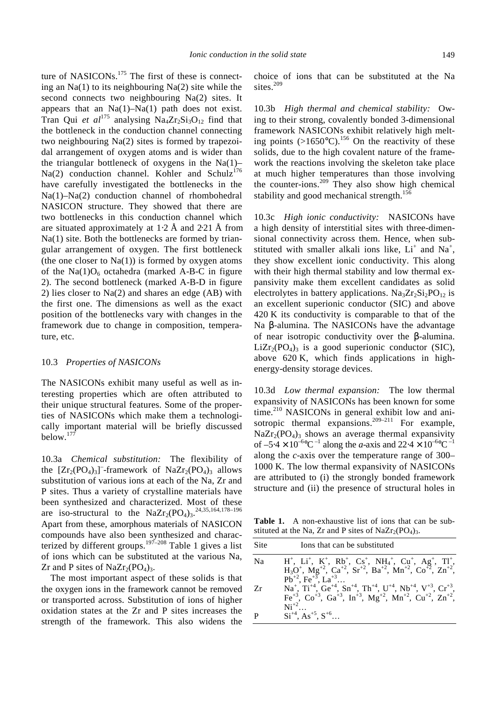ture of NASICONs. $175$  The first of these is connecting an Na(1) to its neighbouring Na(2) site while the second connects two neighbouring Na(2) sites. It appears that an  $Na(1)$ – $Na(1)$  path does not exist. Tran Qui *et al*<sup>175</sup> analysing  $N_{a_4}Z_{r_2}Si_3O_{12}$  find that the bottleneck in the conduction channel connecting two neighbouring Na(2) sites is formed by trapezoidal arrangement of oxygen atoms and is wider than the triangular bottleneck of oxygens in the  $Na(1)$ – Na(2) conduction channel. Kohler and Schulz<sup>176</sup> have carefully investigated the bottlenecks in the Na(1)–Na(2) conduction channel of rhombohedral NASICON structure. They showed that there are two bottlenecks in this conduction channel which are situated approximately at 1⋅2 Å and 2⋅21 Å from Na(1) site. Both the bottlenecks are formed by triangular arrangement of oxygen. The first bottleneck (the one closer to  $Na(1)$ ) is formed by oxygen atoms of the  $Na(1)O_6$  octahedra (marked A-B-C in figure 2). The second bottleneck (marked A-B-D in figure 2) lies closer to Na(2) and shares an edge (AB) with the first one. The dimensions as well as the exact position of the bottlenecks vary with changes in the framework due to change in composition, temperature, etc.

#### 10.3 *Properties of NASICONs*

The NASICONs exhibit many useful as well as interesting properties which are often attributed to their unique structural features. Some of the properties of NASICONs which make them a technologically important material will be briefly discussed below. $177$ 

10.3a *Chemical substitution:* The flexibility of the  $[Zr_2(PO_4)_3]$ -framework of Na $Zr_2(PO_4)_3$  allows substitution of various ions at each of the Na, Zr and P sites. Thus a variety of crystalline materials have been synthesized and characterized. Most of these are iso-structural to the  $NaZr_2(PO_4)_3$ .<sup>24,35,164,178–196</sup> Apart from these, amorphous materials of NASICON compounds have also been synthesized and characterized by different groups.<sup>197–208</sup> Table 1 gives a list of ions which can be substituted at the various Na, Zr and P sites of NaZr<sub>2</sub>(PO<sub>4</sub>)<sub>3</sub>.

The most important aspect of these solids is that the oxygen ions in the framework cannot be removed or transported across. Substitution of ions of higher oxidation states at the Zr and P sites increases the strength of the framework. This also widens the choice of ions that can be substituted at the Na sites.<sup>209</sup>

10.3b *High thermal and chemical stability:* Owing to their strong, covalently bonded 3-dimensional framework NASICONs exhibit relatively high melting points  $(>1650^{\circ}C)^{156}$  On the reactivity of these solids, due to the high covalent nature of the framework the reactions involving the skeleton take place at much higher temperatures than those involving the counter-ions.<sup>209</sup> They also show high chemical stability and good mechanical strength.<sup>156</sup>

10.3c *High ionic conductivity:* NASICONs have a high density of interstitial sites with three-dimensional connectivity across them. Hence, when substituted with smaller alkali ions like,  $Li<sup>+</sup>$  and Na<sup>+</sup>, they show excellent ionic conductivity. This along with their high thermal stability and low thermal expansivity make them excellent candidates as solid electrolytes in battery applications.  $Na<sub>3</sub>Zr<sub>2</sub>Si<sub>2</sub>PO<sub>12</sub>$  is an excellent superionic conductor (SIC) and above 420 K its conductivity is comparable to that of the Na *b*-alumina. The NASICONs have the advantage of near isotropic conductivity over the *b*-alumina.  $LiZr_2(PO_4)$ <sub>3</sub> is a good superionic conductor (SIC), above 620 K, which finds applications in highenergy-density storage devices.

10.3d *Low thermal expansion:* The low thermal expansivity of NASICONs has been known for some  $time<sup>210</sup>$  NASICONs in general exhibit low and anisotropic thermal expansions.<sup>209–211</sup> For example,  $NaZr<sub>2</sub>(PO<sub>4</sub>)<sub>3</sub>$  shows an average thermal expansivity of  $-5.4 \times 10^{-6}$ °C<sup>-1</sup> along the *a*-axis and 22⋅4 × 10<sup>-6</sup>°C<sup>-1</sup> along the *c*-axis over the temperature range of 300– 1000 K. The low thermal expansivity of NASICONs are attributed to (i) the strongly bonded framework structure and (ii) the presence of structural holes in

**Table 1.** A non-exhaustive list of ions that can be substituted at the Na, Zr and P sites of NaZr<sub>2</sub>(PO<sub>4</sub>)<sub>3</sub>.

| Site         | Ions that can be substituted                                                                                                                                                                                                                  |
|--------------|-----------------------------------------------------------------------------------------------------------------------------------------------------------------------------------------------------------------------------------------------|
| Na           | $H^+$ , $Li^+$ , $K^+$ , $Rb^+$ , $Cs^+$ , $NH_4^+$ , $Cu^+$ , $Ag^+$ , $TI^+$ ,<br>$H_3O^+$ , $Mg^{+2}$ , $Ca^{+2}$ , $Sr^{+2}$ , $Ba^{+2}$ , $Mn^{+2}$ , $Co^{+2}$ , $Zn^{+2}$ ,                                                            |
| Zr           | $Pb^{+2}$ , $Fe^{+3}$ , $La^{+3}$<br>$Na^{+}$ , $Ti^{+4}$ , $Ge^{+4}$ , $Sn^{+4}$ , $Th^{+4}$ , $U^{+4}$ , $Nb^{+4}$ , $V^{+3}$ , $Cr^{+3}$ , $Fe^{+3}$ , $Co^{+3}$ , $Ga^{+3}$ , $In^{+3}$ , $Mg^{+2}$ , $Mn^{+2}$ , $Cu^{+2}$ , $Zn^{+2}$ , |
| $\mathbf{P}$ | $Ni+2$<br>$Si^{+4}$ , As <sup>+5</sup> , $S^{+6}$                                                                                                                                                                                             |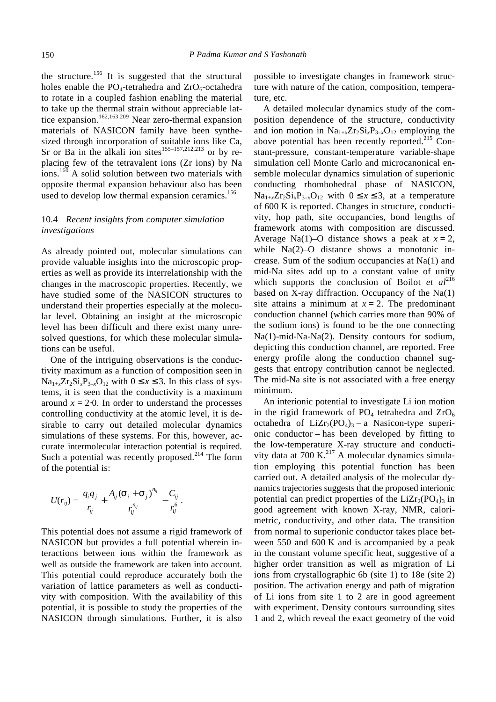the structure.<sup>156</sup> It is suggested that the structural holes enable the PO<sub>4</sub>-tetrahedra and  $ZrO<sub>6</sub>$ -octahedra to rotate in a coupled fashion enabling the material to take up the thermal strain without appreciable lattice expansion.<sup>162,163,209</sup> Near zero-thermal expansion materials of NASICON family have been synthesized through incorporation of suitable ions like Ca, Sr or Ba in the alkali ion sites<sup>155–157,212,213</sup> or by replacing few of the tetravalent ions (Zr ions) by Na  $\frac{1}{100}$  A solid solution between two materials with opposite thermal expansion behaviour also has been used to develop low thermal expansion ceramics.<sup>156</sup>

# 10.4 *Recent insights from computer simulation investigations*

As already pointed out, molecular simulations can provide valuable insights into the microscopic properties as well as provide its interrelationship with the changes in the macroscopic properties. Recently, we have studied some of the NASICON structures to understand their properties especially at the molecular level. Obtaining an insight at the microscopic level has been difficult and there exist many unresolved questions, for which these molecular simulations can be useful.

One of the intriguing observations is the conductivity maximum as a function of composition seen in  $Na_{1+x}Zr_2Si_xP_{3-x}O_{12}$  with  $0 \le x \le 3$ . In this class of systems, it is seen that the conductivity is a maximum around  $x = 2.0$ . In order to understand the processes controlling conductivity at the atomic level, it is desirable to carry out detailed molecular dynamics simulations of these systems. For this, however, accurate intermolecular interaction potential is required. Such a potential was recently proposed.<sup>214</sup> The form of the potential is:

$$
U(r_{ij}) = \frac{q_i q_j}{r_{ij}} + \frac{A_{ij} (\mathbf{s}_i + \mathbf{s}_j)^{n_{ij}}}{r_{ij}^{n_{ij}}} - \frac{C_{ij}}{r_{ij}^6}.
$$

This potential does not assume a rigid framework of NASICON but provides a full potential wherein interactions between ions within the framework as well as outside the framework are taken into account. This potential could reproduce accurately both the variation of lattice parameters as well as conductivity with composition. With the availability of this potential, it is possible to study the properties of the NASICON through simulations. Further, it is also

possible to investigate changes in framework structure with nature of the cation, composition, temperature, etc.

A detailed molecular dynamics study of the composition dependence of the structure, conductivity and ion motion in  $Na_{1+x}Zr_2Si_xP_{3-x}O_{12}$  employing the above potential has been recently reported. $^{215}$  Constant-pressure, constant-temperature variable-shape simulation cell Monte Carlo and microcanonical ensemble molecular dynamics simulation of superionic conducting rhombohedral phase of NASICON,  $Na_{1+x}Zr_2Si_xP_{3-x}O_{12}$  with  $0 \le x \le 3$ , at a temperature of 600 K is reported. Changes in structure, conductivity, hop path, site occupancies, bond lengths of framework atoms with composition are discussed. Average Na(1)–O distance shows a peak at  $x = 2$ , while Na(2)–O distance shows a monotonic increase. Sum of the sodium occupancies at Na(1) and mid-Na sites add up to a constant value of unity which supports the conclusion of Boilot *et al*<sup>216</sup> based on X-ray diffraction. Occupancy of the Na(1) site attains a minimum at  $x = 2$ . The predominant conduction channel (which carries more than 90% of the sodium ions) is found to be the one connecting Na(1)-mid-Na-Na(2). Density contours for sodium, depicting this conduction channel, are reported. Free energy profile along the conduction channel suggests that entropy contribution cannot be neglected. The mid-Na site is not associated with a free energy minimum.

An interionic potential to investigate Li ion motion in the rigid framework of  $PO_4$  tetrahedra and  $ZrO_6$ octahedra of  $LiZr_2(PO_4)_3 - a$  Nasicon-type superionic conductor – has been developed by fitting to the low-temperature X-ray structure and conductivity data at  $700 \text{ K}$ <sup>217</sup> A molecular dynamics simulation employing this potential function has been carried out. A detailed analysis of the molecular dynamics trajectories suggests that the proposed interionic potential can predict properties of the  $LiZr_2(PO_4)$ <sub>3</sub> in good agreement with known X-ray, NMR, calorimetric, conductivity, and other data. The transition from normal to superionic conductor takes place between 550 and 600 K and is accompanied by a peak in the constant volume specific heat, suggestive of a higher order transition as well as migration of Li ions from crystallographic 6b (site 1) to 18e (site 2) position. The activation energy and path of migration of Li ions from site 1 to 2 are in good agreement with experiment. Density contours surrounding sites 1 and 2, which reveal the exact geometry of the void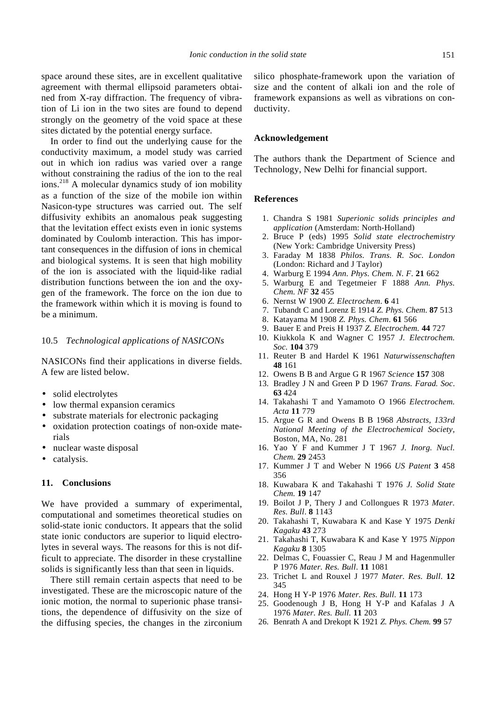space around these sites, are in excellent qualitative agreement with thermal ellipsoid parameters obtained from X-ray diffraction. The frequency of vibration of Li ion in the two sites are found to depend strongly on the geometry of the void space at these sites dictated by the potential energy surface.

In order to find out the underlying cause for the conductivity maximum, a model study was carried out in which ion radius was varied over a range without constraining the radius of the ion to the real ions.<sup>218</sup> A molecular dynamics study of ion mobility as a function of the size of the mobile ion within Nasicon-type structures was carried out. The self diffusivity exhibits an anomalous peak suggesting that the levitation effect exists even in ionic systems dominated by Coulomb interaction. This has important consequences in the diffusion of ions in chemical and biological systems. It is seen that high mobility of the ion is associated with the liquid-like radial distribution functions between the ion and the oxygen of the framework. The force on the ion due to the framework within which it is moving is found to be a minimum.

# 10.5 *Technological applications of NASICONs*

NASICONs find their applications in diverse fields. A few are listed below.

- solid electrolytes
- low thermal expansion ceramics
- substrate materials for electronic packaging
- oxidation protection coatings of non-oxide materials
- nuclear waste disposal
- catalysis.

#### **11. Conclusions**

We have provided a summary of experimental, computational and sometimes theoretical studies on solid-state ionic conductors. It appears that the solid state ionic conductors are superior to liquid electrolytes in several ways. The reasons for this is not difficult to appreciate. The disorder in these crystalline solids is significantly less than that seen in liquids.

There still remain certain aspects that need to be investigated. These are the microscopic nature of the ionic motion, the normal to superionic phase transitions, the dependence of diffusivity on the size of the diffusing species, the changes in the zirconium silico phosphate-framework upon the variation of size and the content of alkali ion and the role of framework expansions as well as vibrations on conductivity.

# **Acknowledgement**

The authors thank the Department of Science and Technology, New Delhi for financial support.

#### **References**

- 1. Chandra S 1981 *Superionic solids principles and application* (Amsterdam: North-Holland)
- 2. Bruce P (eds) 1995 *Solid state electrochemistry* (New York: Cambridge University Press)
- 3. Faraday M 1838 *Philos. Trans. R. Soc. London* (London: Richard and J Taylor)
- 4. Warburg E 1994 *Ann. Phys. Chem. N. F.* **21** 662
- 5. Warburg E and Tegetmeier F 1888 *Ann. Phys. Chem. NF* **32** 455
- 6. Nernst W 1900 *Z. Electrochem*. **6** 41
- 7. Tubandt C and Lorenz E 1914 *Z. Phys. Chem.* **87** 513
- 8. Katayama M 1908 *Z. Phys. Chem*. **61** 566
- 9. Bauer E and Preis H 1937 *Z. Electrochem.* **44** 727
- 10. Kiukkola K and Wagner C 1957 *J. Electrochem. Soc.* **104** 379
- 11. Reuter B and Hardel K 1961 *Naturwissenschaften* **48** 161
- 12. Owens B B and Argue G R 1967 *Science* **157** 308
- 13. Bradley J N and Green P D 1967 *Trans. Farad. Soc*. **63** 424
- 14. Takahashi T and Yamamoto O 1966 *Electrochem. Acta* **11** 779
- 15. Argue G R and Owens B B 1968 *Abstracts*, *133rd National Meeting of the Electrochemical Society*, Boston, MA, No. 281
- 16. Yao Y F and Kummer J T 1967 *J. Inorg. Nucl. Chem.* **29** 2453
- 17. Kummer J T and Weber N 1966 *US Patent* **3** 458 356
- 18. Kuwabara K and Takahashi T 1976 *J. Solid State Chem.* **19** 147
- 19. Boilot J P, Thery J and Collongues R 1973 *Mater. Res. Bull*. **8** 1143
- 20. Takahashi T, Kuwabara K and Kase Y 1975 *Denki Kagaku* **43** 273
- 21. Takahashi T, Kuwabara K and Kase Y 1975 *Nippon Kagaku* **8** 1305
- 22. Delmas C, Fouassier C, Reau J M and Hagenmuller P 1976 *Mater. Res. Bull*. **11** 1081
- 23. Trichet L and Rouxel J 1977 *Mater. Res. Bull*. **12** 345
- 24. Hong H Y-P 1976 *Mater. Res. Bull*. **11** 173
- 25. Goodenough J B, Hong H Y-P and Kafalas J A 1976 *Mater. Res. Bull.* **11** 203
- 26. Benrath A and Drekopt K 1921 *Z. Phys. Chem.* **99** 57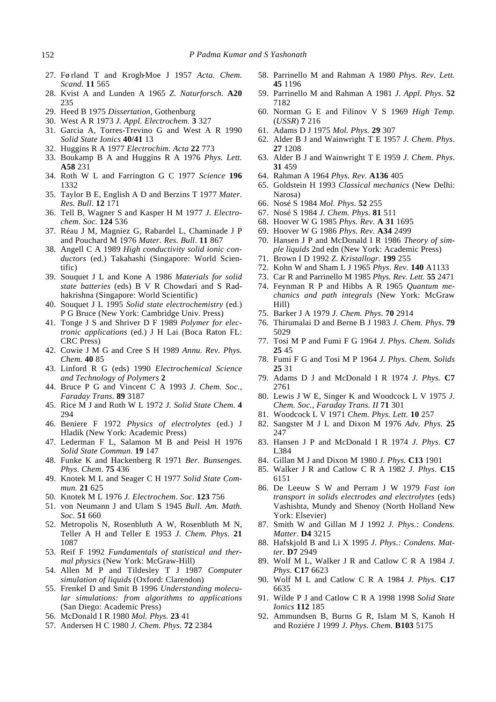- 27. Fø rland T and Krogh-Moe J 1957 *Acta. Chem. Scand.* **11** 565
- 28. Kvist A and Lunden A 1965 *Z. Naturforsch.* **A20** 235
- 29. Heed B 1975 *Dissertation*, Gothenburg
- 30. West A R 1973 *J. Appl. Electrochem.* **3** 327
- 31. Garcia A, Torres-Trevino G and West A R 1990 *Solid State Ionics* **40/41** 13
- 32. Huggins R A 1977 *Electrochim. Acta* **22** 773
- 33. Boukamp B A and Huggins R A 1976 *Phys. Lett.* **A58** 231
- 34. Roth W L and Farrington G C 1977 *Science* **196** 1332
- 35. Taylor B E, English A D and Berzins T 1977 *Mater. Res. Bull*. **12** 171
- 36. Tell B, Wagner S and Kasper H M 1977 *J. Electrochem. Soc.* **124** 536
- 37. Réau J M, Magniez G, Rabardel L, Chaminade J P and Pouchard M 1976 *Mater. Res. Bull*. **11** 867
- 38. Angell C A 1989 *High conductivity solid ionic conductors* (ed.) Takahashi (Singapore: World Scientific)
- 39. Souquet J L and Kone A 1986 *Materials for solid state batteries* (eds) B V R Chowdari and S Radhakrishna (Singapore: World Scientific)
- 40. Souquet J L 1995 *Solid state electrochemistry* (ed.) P G Bruce (New York: Cambridge Univ. Press)
- 41. Tonge J S and Shriver D F 1989 *Polymer for electronic applications* (ed.) J H Lai (Boca Raton FL: CRC Press)
- 42. Cowie J M G and Cree S H 1989 *Annu. Rev. Phys. Chem.* **40** 85
- 43. Linford R G (eds) 1990 *Electrochemical Science and Technology of Polymers* **2**
- 44. Bruce P G and Vincent C A 1993 *J. Chem. Soc.*, *Faraday Trans.* **89** 3187
- 45. Rice M J and Roth W L 1972 *J. Solid State Chem.* **4** 294
- 46. Beniere F 1972 *Physics of electrolytes* (ed.) J Hladik (New York: Academic Press)
- 47. Lederman F L, Salamon M B and Peisl H 1976 *Solid State Commun*. **19** 147
- 48. Funke K and Hackenberg R 1971 *Ber. Bunsenges. Phys. Chem*. **75** 436
- 49. Knotek M L and Seager C H 1977 *Solid State Commun.* **21** 625
- 50. Knotek M L 1976 *J. Electrochem. Soc.* **123** 756
- 51. von Neumann J and Ulam S 1945 *Bull. Am. Math. Soc.* **51** 660
- 52. Metropolis N, Rosenbluth A W, Rosenbluth M N, Teller A H and Teller E 1953 *J. Chem. Phys.* **21** 1087
- 53. Reif F 1992 *Fundamentals of statistical and thermal physics* (New York: McGraw-Hill)
- 54. Allen M P and Tildesley T J 1987 *Computer simulation of liquids* (Oxford: Clarendon)
- 55. Frenkel D and Smit B 1996 *Understanding molecular simulations: from algorithms to applications* (San Diego: Academic Press)
- 56. McDonald I R 1980 *Mol. Phys.* **23** 41
- 57. Andersen H C 1980 *J. Chem. Phys.* **72** 2384
- 58. Parrinello M and Rahman A 1980 *Phys. Rev. Lett.* **45** 1196
- 59. Parrinello M and Rahman A 1981 *J. Appl. Phys*. **52** 7182
- 60. Norman G E and Filinov V S 1969 *High Temp.* (*USSR*) **7** 216
- 61. Adams D J 1975 *Mol. Phys.* **29** 307
- 62. Alder B J and Wainwright T E 1957 *J. Chem. Phys*. **27** 1208
- 63. Alder B J and Wainwright T E 1959 *J. Chem. Phys*. **31** 459
- 64. Rahman A 1964 *Phys. Rev.* **A136** 405
- 65. Goldstein H 1993 *Classical mechanics* (New Delhi: Narosa)
- 66. Nosé S 1984 *Mol. Phys.* **52** 255
- 67. Nosé S 1984 *J. Chem. Phys.* **81** 511
- 68. Hoover W G 1985 *Phys. Rev.* **A 31** 1695
- 69. Hoover W G 1986 *Phys. Rev.* **A34** 2499
- 70. Hansen J P and McDonald I R 1986 *Theory of simple liquids* 2nd edn (New York: Academic Press)
- 71. Brown I D 1992 *Z. Kristallogr.* **199** 255
- 72. Kohn W and Sham L J 1965 *Phys. Rev.* **140** A1133
- 73. Car R and Parrinello M 1985 *Phys. Rev. Lett.* **55** 2471
- 74. Feynman R P and Hibbs A R 1965 *Quantum mechanics and path integrals* (New York: McGraw Hill)
- 75. Barker J A 1979 *J. Chem. Phys.* **70** 2914
- 76. Thirumalai D and Berne B J 1983 *J. Chem. Phys.* **79** 5029
- 77. Tosi M P and Fumi F G 1964 *J. Phys. Chem. Solids* **25** 45
- 78. Fumi F G and Tosi M P 1964 *J. Phys. Chem. Solids* **25** 31
- 79. Adams D J and McDonald I R 1974 *J. Phys.* **C7** 2761
- 80. Lewis J W E, Singer K and Woodcock L V 1975 *J. Chem. Soc.*, *Faraday Trans. II* **71** 301
- 81. Woodcock L V 1971 *Chem. Phys. Lett.* **10** 257
- 82. Sangster M J L and Dixon M 1976 *Adv. Phys.* **25** 247
- 83. Hansen J P and McDonald I R 1974 *J. Phys.* **C7** L384
- 84. Gillan M J and Dixon M 1980 *J. Phys.* **C13** 1901
- 85. Walker J R and Catlow C R A 1982 *J. Phys.* **C15** 6151
- 86. De Leeuw S W and Perram J W 1979 *Fast ion transport in solids electrodes and electrolytes* (eds) Vashishta, Mundy and Shenoy (North Holland New York: Elsevier)
- 87. Smith W and Gillan M J 1992 *J. Phys.: Condens. Matter.* **D4** 3215
- 88. Hafskjold B and Li X 1995 *J. Phys.: Condens. Matter.* **D7** 2949
- 89. Wolf M L, Walker J R and Catlow C R A 1984 *J. Phys.* **C17** 6623
- 90. Wolf M L and Catlow C R A 1984 *J. Phys.* **C17** 6635
- 91. Wilde P J and Catlow C R A 1998 1998 *Solid State Ionics* **112** 185
- 92. Ammundsen B, Burns G R, Islam M S, Kanoh H and Roziére J 1999 *J. Phys. Chem.* **B103** 5175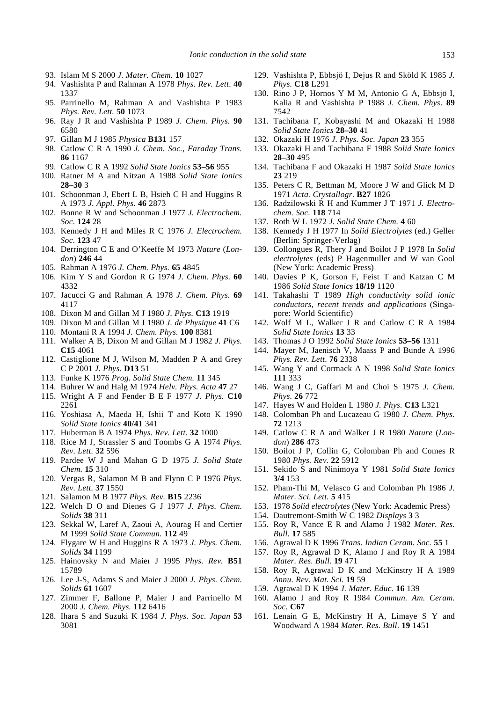- 93. Islam M S 2000 *J. Mater. Chem.* **10** 1027
- 94. Vashishta P and Rahman A 1978 *Phys. Rev. Lett*. **40** 1337
- 95. Parrinello M, Rahman A and Vashishta P 1983 *Phys. Rev. Lett.* **50** 1073
- 96. Ray J R and Vashishta P 1989 *J. Chem. Phys.* **90** 6580
- 97. Gillan M J 1985 *Physica* **B131** 157
- 98. Catlow C R A 1990 *J. Chem. Soc.*, *Faraday Trans.* **86** 1167
- 99. Catlow C R A 1992 *Solid State Ionics* **53–56** 955
- 100. Ratner M A and Nitzan A 1988 *Solid State Ionics* **28–30** 3
- 101. Schoonman J, Ebert L B, Hsieh C H and Huggins R A 1973 *J. Appl. Phys.* **46** 2873
- 102. Bonne R W and Schoonman J 1977 *J. Electrochem. Soc.* **124** 28
- 103. Kennedy J H and Miles R C 1976 *J. Electrochem. Soc.* **123** 47
- 104. Derrington C E and O'Keeffe M 1973 *Nature* (*London*) **246** 44
- 105. Rahman A 1976 *J. Chem. Phys.* **65** 4845
- 106. Kim Y S and Gordon R G 1974 *J. Chem. Phys.* **60** 4332
- 107. Jacucci G and Rahman A 1978 *J. Chem. Phys.* **69** 4117
- 108. Dixon M and Gillan M J 1980 *J. Phys.* **C13** 1919
- 109. Dixon M and Gillan M J 1980 *J. de Physique* **41** C6
- 110. Montani R A 1994 *J. Chem. Phys.* **100** 8381
- 111. Walker A B, Dixon M and Gillan M J 1982 *J. Phys.* **C15** 4061
- 112. Castiglione M J, Wilson M, Madden P A and Grey C P 2001 *J. Phys.* **D13** 51
- 113. Funke K 1976 *Prog. Solid State Chem.* **11** 345
- 114. Buhrer W and Halg M 1974 *Helv. Phys. Acta* **47** 27
- 115. Wright A F and Fender B E F 1977 *J. Phys.* **C10** 2261
- 116. Yoshiasa A, Maeda H, Ishii T and Koto K 1990 *Solid State Ionics* **40/41** 341
- 117. Huberman B A 1974 *Phys. Rev. Lett.* **32** 1000
- 118. Rice M J, Strassler S and Toombs G A 1974 *Phys. Rev. Lett.* **32** 596
- 119. Pardee W J and Mahan G D 1975 *J. Solid State Chem.* **15** 310
- 120. Vergas R, Salamon M B and Flynn C P 1976 *Phys. Rev. Lett.* **37** 1550
- 121. Salamon M B 1977 *Phys. Rev.* **B15** 2236
- 122. Welch D O and Dienes G J 1977 *J. Phys. Chem. Solids* **38** 311
- 123. Sekkal W, Laref A, Zaoui A, Aourag H and Certier M 1999 *Solid State Commun.* **112** 49
- 124. Flygare W H and Huggins R A 1973 *J. Phys. Chem. Solids* **34** 1199
- 125. Hainovsky N and Maier J 1995 *Phys. Rev.* **B51** 15789
- 126. Lee J-S, Adams S and Maier J 2000 *J. Phys. Chem. Solids* **61** 1607
- 127. Zimmer F, Ballone P, Maier J and Parrinello M 2000 *J. Chem. Phys.* **112** 6416
- 128. Ihara S and Suzuki K 1984 *J. Phys. Soc. Japan* **53** 3081
- 129. Vashishta P, Ebbsjö I, Dejus R and Sköld K 1985 *J. Phys.* **C18** L291
- 130. Rino J P, Hornos Y M M, Antonio G A, Ebbsjö I, Kalia R and Vashishta P 1988 *J. Chem. Phys*. **89** 7542
- 131. Tachibana F, Kobayashi M and Okazaki H 1988 *Solid State Ionics* **28–30** 41
- 132. Okazaki H 1976 *J. Phys. Soc. Japan* **23** 355
- 133. Okazaki H and Tachibana F 1988 *Solid State Ionics* **28–30** 495
- 134. Tachibana F and Okazaki H 1987 *Solid State Ionics* **23** 219
- 135. Peters C R, Bettman M, Moore J W and Glick M D 1971 *Acta. Crystallogr*. **B27** 1826
- 136. Radzilowski R H and Kummer J T 1971 *J. Electrochem. Soc.* **118** 714
- 137. Roth W L 1972 *J. Solid State Chem.* **4** 60
- 138. Kennedy J H 1977 In *Solid Electrolytes* (ed.) Geller (Berlin: Springer-Verlag)
- 139. Collongues R, Thery J and Boilot J P 1978 In *Solid electrolytes* (eds) P Hagenmuller and W van Gool (New York: Academic Press)
- 140. Davies P K, Gorson F, Feist T and Katzan C M 1986 *Solid State Ionics* **18/19** 1120
- 141. Takahashi T 1989 *High conductivity solid ionic conductors, recent trends and applications* (Singapore: World Scientific)
- 142. Wolf M L, Walker J R and Catlow C R A 1984 *Solid State Ionics* **13** 33
- 143. Thomas J O 1992 *Solid State Ionics* **53–56** 1311
- 144. Mayer M, Jaenisch V, Maass P and Bunde A 1996 *Phys. Rev. Lett*. **76** 2338
- 145. Wang Y and Cormack A N 1998 *Solid State Ionics* **111** 333
- 146. Wang J C, Gaffari M and Choi S 1975 *J. Chem. Phys.* **26** 772
- 147. Hayes W and Holden L 1980 *J. Phys.* **C13** L321
- 148. Colomban Ph and Lucazeau G 1980 *J. Chem. Phys.* **72** 1213
- 149. Catlow C R A and Walker J R 1980 *Nature* (*London*) **286** 473
- 150. Boilot J P, Collin G, Colomban Ph and Comes R 1980 *Phys. Rev.* **22** 5912
- 151. Sekido S and Ninimoya Y 1981 *Solid State Ionics* **3/4** 153
- 152. Pham-Thi M, Velasco G and Colomban Ph 1986 *J. Mater. Sci. Lett.* **5** 415
- 153. 1978 *Solid electrolytes* (New York: Academic Press)
- 154. Dautremont-Smith W C 1982 *Displays* **3** 3
- 155. Roy R, Vance E R and Alamo J 1982 *Mater. Res. Bull.* **17** 585
- 156. Agrawal D K 1996 *Trans. Indian Ceram. Soc.* **55** 1
- 157. Roy R, Agrawal D K, Alamo J and Roy R A 1984 *Mater. Res. Bull.* **19** 471
- 158. Roy R, Agrawal D K and McKinstry H A 1989 *Annu. Rev. Mat. Sci.* **19** 59
- 159. Agrawal D K 1994 *J. Mater. Educ.* **16** 139
- 160. Alamo J and Roy R 1984 *Commun. Am. Ceram. Soc.* **C67**
- 161. Lenain G E, McKinstry H A, Limaye S Y and Woodward A 1984 *Mater. Res. Bull*. **19** 1451